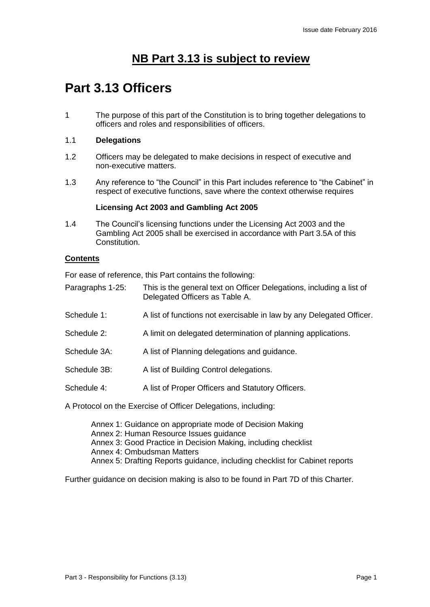# **NB Part 3.13 is subject to review**

# **Part 3.13 Officers**

1 The purpose of this part of the Constitution is to bring together delegations to officers and roles and responsibilities of officers.

# 1.1 **Delegations**

- 1.2 Officers may be delegated to make decisions in respect of executive and non-executive matters.
- 1.3 Any reference to "the Council" in this Part includes reference to "the Cabinet" in respect of executive functions, save where the context otherwise requires

### **Licensing Act 2003 and Gambling Act 2005**

1.4 The Council's licensing functions under the Licensing Act 2003 and the Gambling Act 2005 shall be exercised in accordance with Part 3.5A of this **Constitution** 

# **Contents**

For ease of reference, this Part contains the following:

- Paragraphs 1-25: This is the general text on Officer Delegations, including a list of Delegated Officers as Table A.
- Schedule 1: A list of functions not exercisable in law by any Delegated Officer.
- Schedule 2: A limit on delegated determination of planning applications.
- Schedule 3A: A list of Planning delegations and guidance.
- Schedule 3B: A list of Building Control delegations.
- Schedule 4: A list of Proper Officers and Statutory Officers.

A Protocol on the Exercise of Officer Delegations, including:

Annex 1: Guidance on appropriate mode of Decision Making Annex 2: Human Resource Issues guidance Annex 3: Good Practice in Decision Making, including checklist Annex 4: Ombudsman Matters Annex 5: Drafting Reports guidance, including checklist for Cabinet reports

Further guidance on decision making is also to be found in Part 7D of this Charter.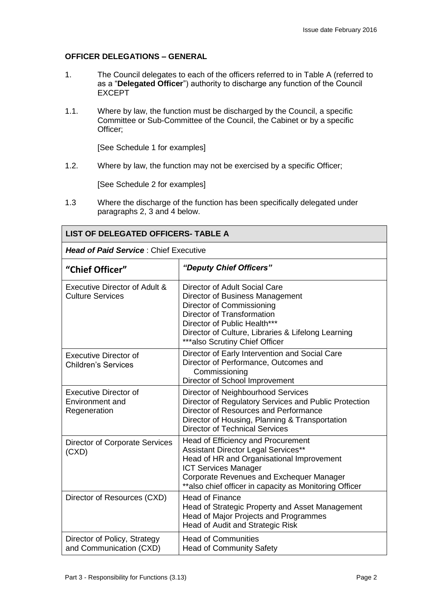# **OFFICER DELEGATIONS – GENERAL**

- 1. The Council delegates to each of the officers referred to in Table A (referred to as a "**Delegated Officer**") authority to discharge any function of the Council EXCEPT
- 1.1. Where by law, the function must be discharged by the Council, a specific Committee or Sub-Committee of the Council, the Cabinet or by a specific Officer;

[See Schedule 1 for examples]

1.2. Where by law, the function may not be exercised by a specific Officer;

[See Schedule 2 for examples]

1.3 Where the discharge of the function has been specifically delegated under paragraphs 2, 3 and 4 below.

| <b>LIST OF DELEGATED OFFICERS- TABLE A</b>                      |                                                                                                                                                                                                                                                              |  |
|-----------------------------------------------------------------|--------------------------------------------------------------------------------------------------------------------------------------------------------------------------------------------------------------------------------------------------------------|--|
| <b>Head of Paid Service: Chief Executive</b>                    |                                                                                                                                                                                                                                                              |  |
| "Chief Officer"                                                 | "Deputy Chief Officers"                                                                                                                                                                                                                                      |  |
| Executive Director of Adult &<br><b>Culture Services</b>        | Director of Adult Social Care<br>Director of Business Management<br>Director of Commissioning<br><b>Director of Transformation</b><br>Director of Public Health***<br>Director of Culture, Libraries & Lifelong Learning<br>*** also Scrutiny Chief Officer  |  |
| <b>Executive Director of</b><br><b>Children's Services</b>      | Director of Early Intervention and Social Care<br>Director of Performance, Outcomes and<br>Commissioning<br>Director of School Improvement                                                                                                                   |  |
| <b>Executive Director of</b><br>Environment and<br>Regeneration | Director of Neighbourhood Services<br>Director of Regulatory Services and Public Protection<br>Director of Resources and Performance<br>Director of Housing, Planning & Transportation<br><b>Director of Technical Services</b>                              |  |
| <b>Director of Corporate Services</b><br>(CXD)                  | Head of Efficiency and Procurement<br>Assistant Director Legal Services**<br>Head of HR and Organisational Improvement<br><b>ICT Services Manager</b><br>Corporate Revenues and Exchequer Manager<br>** also chief officer in capacity as Monitoring Officer |  |
| Director of Resources (CXD)                                     | <b>Head of Finance</b><br>Head of Strategic Property and Asset Management<br><b>Head of Major Projects and Programmes</b><br>Head of Audit and Strategic Risk                                                                                                |  |
| Director of Policy, Strategy<br>and Communication (CXD)         | <b>Head of Communities</b><br><b>Head of Community Safety</b>                                                                                                                                                                                                |  |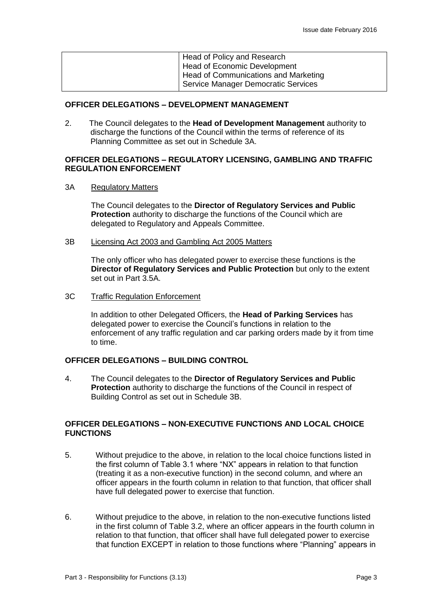| Head of Policy and Research                 |
|---------------------------------------------|
| <b>Head of Economic Development</b>         |
| <b>Head of Communications and Marketing</b> |
| Service Manager Democratic Services         |

#### **OFFICER DELEGATIONS – DEVELOPMENT MANAGEMENT**

2. The Council delegates to the **Head of Development Management** authority to discharge the functions of the Council within the terms of reference of its Planning Committee as set out in Schedule 3A.

#### **OFFICER DELEGATIONS – REGULATORY LICENSING, GAMBLING AND TRAFFIC REGULATION ENFORCEMENT**

3A Regulatory Matters

The Council delegates to the **Director of Regulatory Services and Public Protection** authority to discharge the functions of the Council which are delegated to Regulatory and Appeals Committee.

3B Licensing Act 2003 and Gambling Act 2005 Matters

The only officer who has delegated power to exercise these functions is the **Director of Regulatory Services and Public Protection** but only to the extent set out in Part 3.5A.

### 3C Traffic Regulation Enforcement

In addition to other Delegated Officers, the **Head of Parking Services** has delegated power to exercise the Council's functions in relation to the enforcement of any traffic regulation and car parking orders made by it from time to time.

#### **OFFICER DELEGATIONS – BUILDING CONTROL**

4. The Council delegates to the **Director of Regulatory Services and Public Protection** authority to discharge the functions of the Council in respect of Building Control as set out in Schedule 3B.

### **OFFICER DELEGATIONS – NON-EXECUTIVE FUNCTIONS AND LOCAL CHOICE FUNCTIONS**

- 5. Without prejudice to the above, in relation to the local choice functions listed in the first column of Table 3.1 where "NX" appears in relation to that function (treating it as a non-executive function) in the second column, and where an officer appears in the fourth column in relation to that function, that officer shall have full delegated power to exercise that function.
- 6. Without prejudice to the above, in relation to the non-executive functions listed in the first column of Table 3.2, where an officer appears in the fourth column in relation to that function, that officer shall have full delegated power to exercise that function EXCEPT in relation to those functions where "Planning" appears in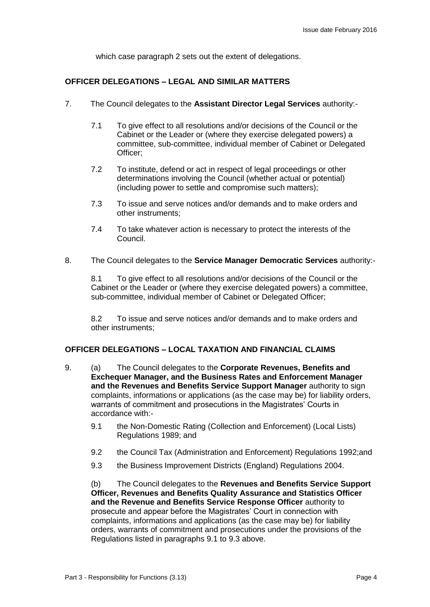which case paragraph 2 sets out the extent of delegations.

# **OFFICER DELEGATIONS – LEGAL AND SIMILAR MATTERS**

- 7. The Council delegates to the **Assistant Director Legal Services** authority:-
	- 7.1 To give effect to all resolutions and/or decisions of the Council or the Cabinet or the Leader or (where they exercise delegated powers) a committee, sub-committee, individual member of Cabinet or Delegated Officer;
	- 7.2 To institute, defend or act in respect of legal proceedings or other determinations involving the Council (whether actual or potential) (including power to settle and compromise such matters);
	- 7.3 To issue and serve notices and/or demands and to make orders and other instruments;
	- 7.4 To take whatever action is necessary to protect the interests of the Council.
- 8. The Council delegates to the **Service Manager Democratic Services** authority:-

8.1 To give effect to all resolutions and/or decisions of the Council or the Cabinet or the Leader or (where they exercise delegated powers) a committee, sub-committee, individual member of Cabinet or Delegated Officer;

8.2 To issue and serve notices and/or demands and to make orders and other instruments;

### **OFFICER DELEGATIONS – LOCAL TAXATION AND FINANCIAL CLAIMS**

- 9. (a) The Council delegates to the **Corporate Revenues, Benefits and Exchequer Manager, and the Business Rates and Enforcement Manager and the Revenues and Benefits Service Support Manager** authority to sign complaints, informations or applications (as the case may be) for liability orders, warrants of commitment and prosecutions in the Magistrates' Courts in accordance with:-
	- 9.1 the Non-Domestic Rating (Collection and Enforcement) (Local Lists) Regulations 1989; and
	- 9.2 the Council Tax (Administration and Enforcement) Regulations 1992;and
	- 9.3 the Business Improvement Districts (England) Regulations 2004.

(b) The Council delegates to the **Revenues and Benefits Service Support Officer, Revenues and Benefits Quality Assurance and Statistics Officer and the Revenue and Benefits Service Response Officer** authority to prosecute and appear before the Magistrates' Court in connection with complaints, informations and applications (as the case may be) for liability orders, warrants of commitment and prosecutions under the provisions of the Regulations listed in paragraphs 9.1 to 9.3 above.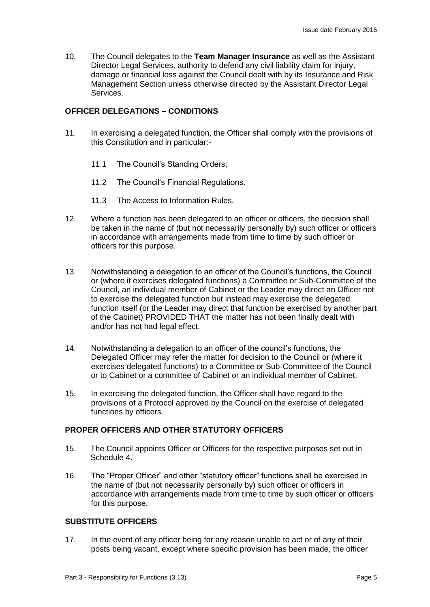10. The Council delegates to the **Team Manager Insurance** as well as the Assistant Director Legal Services, authority to defend any civil liability claim for injury, damage or financial loss against the Council dealt with by its Insurance and Risk Management Section unless otherwise directed by the Assistant Director Legal Services.

# **OFFICER DELEGATIONS – CONDITIONS**

- 11. In exercising a delegated function, the Officer shall comply with the provisions of this Constitution and in particular:-
	- 11.1 The Council's Standing Orders;
	- 11.2 The Council's Financial Regulations.
	- 11.3 The Access to Information Rules.
- 12. Where a function has been delegated to an officer or officers, the decision shall be taken in the name of (but not necessarily personally by) such officer or officers in accordance with arrangements made from time to time by such officer or officers for this purpose.
- 13. Notwithstanding a delegation to an officer of the Council's functions, the Council or (where it exercises delegated functions) a Committee or Sub-Committee of the Council, an individual member of Cabinet or the Leader may direct an Officer not to exercise the delegated function but instead may exercise the delegated function itself (or the Leader may direct that function be exercised by another part of the Cabinet) PROVIDED THAT the matter has not been finally dealt with and/or has not had legal effect.
- 14. Notwithstanding a delegation to an officer of the council's functions, the Delegated Officer may refer the matter for decision to the Council or (where it exercises delegated functions) to a Committee or Sub-Committee of the Council or to Cabinet or a committee of Cabinet or an individual member of Cabinet.
- 15. In exercising the delegated function, the Officer shall have regard to the provisions of a Protocol approved by the Council on the exercise of delegated functions by officers.

#### **PROPER OFFICERS AND OTHER STATUTORY OFFICERS**

- 15. The Council appoints Officer or Officers for the respective purposes set out in Schedule 4.
- 16. The "Proper Officer" and other "statutory officer" functions shall be exercised in the name of (but not necessarily personally by) such officer or officers in accordance with arrangements made from time to time by such officer or officers for this purpose.

#### **SUBSTITUTE OFFICERS**

17. In the event of any officer being for any reason unable to act or of any of their posts being vacant, except where specific provision has been made, the officer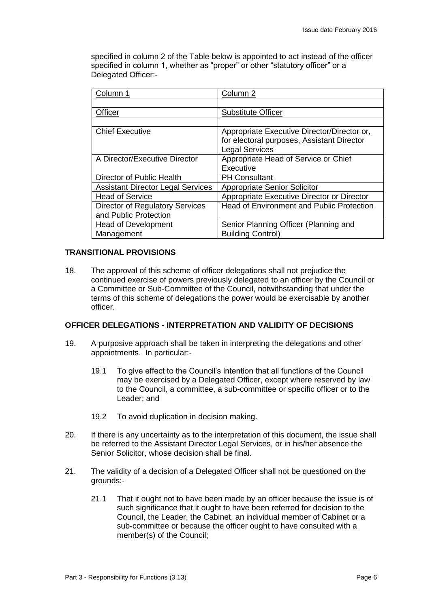specified in column 2 of the Table below is appointed to act instead of the officer specified in column 1, whether as "proper" or other "statutory officer" or a Delegated Officer:-

| Column 2                                         |
|--------------------------------------------------|
|                                                  |
| <b>Substitute Officer</b>                        |
|                                                  |
| Appropriate Executive Director/Director or,      |
| for electoral purposes, Assistant Director       |
| <b>Legal Services</b>                            |
| Appropriate Head of Service or Chief             |
| Executive                                        |
| <b>PH Consultant</b>                             |
| <b>Appropriate Senior Solicitor</b>              |
| Appropriate Executive Director or Director       |
| <b>Head of Environment and Public Protection</b> |
|                                                  |
| Senior Planning Officer (Planning and            |
| <b>Building Control)</b>                         |
|                                                  |

### **TRANSITIONAL PROVISIONS**

18. The approval of this scheme of officer delegations shall not prejudice the continued exercise of powers previously delegated to an officer by the Council or a Committee or Sub-Committee of the Council, notwithstanding that under the terms of this scheme of delegations the power would be exercisable by another officer.

#### **OFFICER DELEGATIONS - INTERPRETATION AND VALIDITY OF DECISIONS**

- 19. A purposive approach shall be taken in interpreting the delegations and other appointments. In particular:-
	- 19.1 To give effect to the Council's intention that all functions of the Council may be exercised by a Delegated Officer, except where reserved by law to the Council, a committee, a sub-committee or specific officer or to the Leader; and
	- 19.2 To avoid duplication in decision making.
- 20. If there is any uncertainty as to the interpretation of this document, the issue shall be referred to the Assistant Director Legal Services, or in his/her absence the Senior Solicitor, whose decision shall be final.
- 21. The validity of a decision of a Delegated Officer shall not be questioned on the grounds:-
	- 21.1 That it ought not to have been made by an officer because the issue is of such significance that it ought to have been referred for decision to the Council, the Leader, the Cabinet, an individual member of Cabinet or a sub-committee or because the officer ought to have consulted with a member(s) of the Council;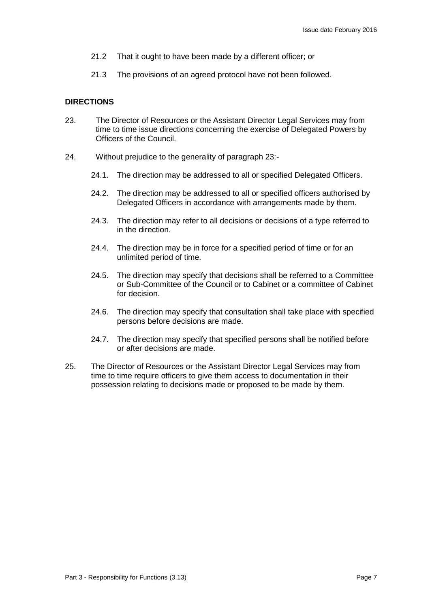- 21.2 That it ought to have been made by a different officer; or
- 21.3 The provisions of an agreed protocol have not been followed.

# **DIRECTIONS**

- 23. The Director of Resources or the Assistant Director Legal Services may from time to time issue directions concerning the exercise of Delegated Powers by Officers of the Council.
- 24. Without prejudice to the generality of paragraph 23:-
	- 24.1. The direction may be addressed to all or specified Delegated Officers.
	- 24.2. The direction may be addressed to all or specified officers authorised by Delegated Officers in accordance with arrangements made by them.
	- 24.3. The direction may refer to all decisions or decisions of a type referred to in the direction.
	- 24.4. The direction may be in force for a specified period of time or for an unlimited period of time.
	- 24.5. The direction may specify that decisions shall be referred to a Committee or Sub-Committee of the Council or to Cabinet or a committee of Cabinet for decision.
	- 24.6. The direction may specify that consultation shall take place with specified persons before decisions are made.
	- 24.7. The direction may specify that specified persons shall be notified before or after decisions are made.
- 25. The Director of Resources or the Assistant Director Legal Services may from time to time require officers to give them access to documentation in their possession relating to decisions made or proposed to be made by them.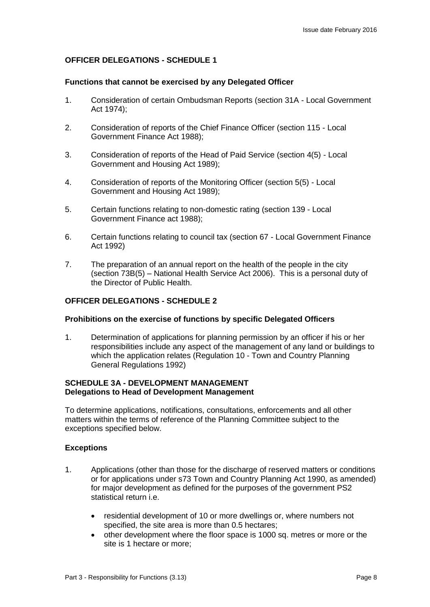# **OFFICER DELEGATIONS - SCHEDULE 1**

#### **Functions that cannot be exercised by any Delegated Officer**

- 1. Consideration of certain Ombudsman Reports (section 31A Local Government Act 1974);
- 2. Consideration of reports of the Chief Finance Officer (section 115 Local Government Finance Act 1988);
- 3. Consideration of reports of the Head of Paid Service (section 4(5) Local Government and Housing Act 1989);
- 4. Consideration of reports of the Monitoring Officer (section 5(5) Local Government and Housing Act 1989);
- 5. Certain functions relating to non-domestic rating (section 139 Local Government Finance act 1988);
- 6. Certain functions relating to council tax (section 67 Local Government Finance Act 1992)
- 7. The preparation of an annual report on the health of the people in the city (section 73B(5) – National Health Service Act 2006). This is a personal duty of the Director of Public Health.

### **OFFICER DELEGATIONS - SCHEDULE 2**

#### **Prohibitions on the exercise of functions by specific Delegated Officers**

1. Determination of applications for planning permission by an officer if his or her responsibilities include any aspect of the management of any land or buildings to which the application relates (Regulation 10 - Town and Country Planning General Regulations 1992)

### **SCHEDULE 3A - DEVELOPMENT MANAGEMENT Delegations to Head of Development Management**

To determine applications, notifications, consultations, enforcements and all other matters within the terms of reference of the Planning Committee subject to the exceptions specified below.

### **Exceptions**

- 1. Applications (other than those for the discharge of reserved matters or conditions or for applications under s73 Town and Country Planning Act 1990, as amended) for major development as defined for the purposes of the government PS2 statistical return i.e.
	- residential development of 10 or more dwellings or, where numbers not specified, the site area is more than 0.5 hectares;
	- other development where the floor space is 1000 sq. metres or more or the site is 1 hectare or more;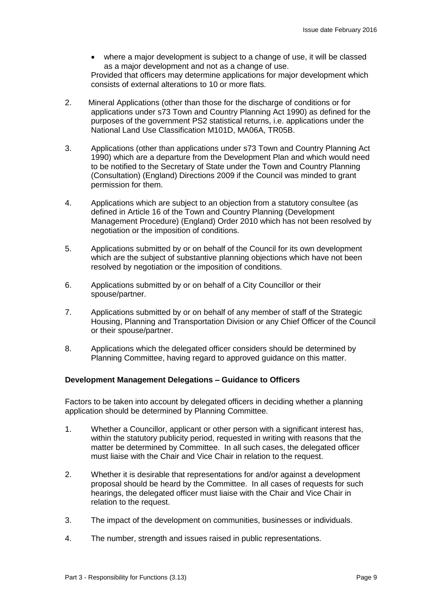where a major development is subject to a change of use, it will be classed as a major development and not as a change of use.

Provided that officers may determine applications for major development which consists of external alterations to 10 or more flats.

- 2. Mineral Applications (other than those for the discharge of conditions or for applications under s73 Town and Country Planning Act 1990) as defined for the purposes of the government PS2 statistical returns, i.e. applications under the National Land Use Classification M101D, MA06A, TR05B.
- 3. Applications (other than applications under s73 Town and Country Planning Act 1990) which are a departure from the Development Plan and which would need to be notified to the Secretary of State under the Town and Country Planning (Consultation) (England) Directions 2009 if the Council was minded to grant permission for them.
- 4. Applications which are subject to an objection from a statutory consultee (as defined in Article 16 of the Town and Country Planning (Development Management Procedure) (England) Order 2010 which has not been resolved by negotiation or the imposition of conditions.
- 5. Applications submitted by or on behalf of the Council for its own development which are the subject of substantive planning objections which have not been resolved by negotiation or the imposition of conditions.
- 6. Applications submitted by or on behalf of a City Councillor or their spouse/partner.
- 7. Applications submitted by or on behalf of any member of staff of the Strategic Housing, Planning and Transportation Division or any Chief Officer of the Council or their spouse/partner.
- 8. Applications which the delegated officer considers should be determined by Planning Committee, having regard to approved guidance on this matter.

### **Development Management Delegations – Guidance to Officers**

Factors to be taken into account by delegated officers in deciding whether a planning application should be determined by Planning Committee.

- 1. Whether a Councillor, applicant or other person with a significant interest has, within the statutory publicity period, requested in writing with reasons that the matter be determined by Committee. In all such cases, the delegated officer must liaise with the Chair and Vice Chair in relation to the request.
- 2. Whether it is desirable that representations for and/or against a development proposal should be heard by the Committee. In all cases of requests for such hearings, the delegated officer must liaise with the Chair and Vice Chair in relation to the request.
- 3. The impact of the development on communities, businesses or individuals.
- 4. The number, strength and issues raised in public representations.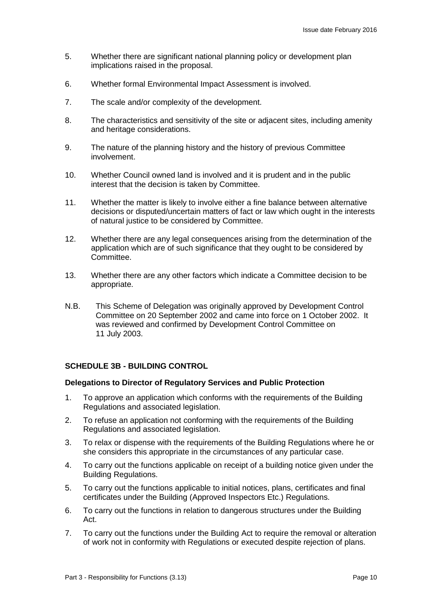- 5. Whether there are significant national planning policy or development plan implications raised in the proposal.
- 6. Whether formal Environmental Impact Assessment is involved.
- 7. The scale and/or complexity of the development.
- 8. The characteristics and sensitivity of the site or adjacent sites, including amenity and heritage considerations.
- 9. The nature of the planning history and the history of previous Committee involvement.
- 10. Whether Council owned land is involved and it is prudent and in the public interest that the decision is taken by Committee.
- 11. Whether the matter is likely to involve either a fine balance between alternative decisions or disputed/uncertain matters of fact or law which ought in the interests of natural justice to be considered by Committee.
- 12. Whether there are any legal consequences arising from the determination of the application which are of such significance that they ought to be considered by Committee.
- 13. Whether there are any other factors which indicate a Committee decision to be appropriate.
- N.B. This Scheme of Delegation was originally approved by Development Control Committee on 20 September 2002 and came into force on 1 October 2002. It was reviewed and confirmed by Development Control Committee on 11 July 2003.

### **SCHEDULE 3B - BUILDING CONTROL**

#### **Delegations to Director of Regulatory Services and Public Protection**

- 1. To approve an application which conforms with the requirements of the Building Regulations and associated legislation.
- 2. To refuse an application not conforming with the requirements of the Building Regulations and associated legislation.
- 3. To relax or dispense with the requirements of the Building Regulations where he or she considers this appropriate in the circumstances of any particular case.
- 4. To carry out the functions applicable on receipt of a building notice given under the Building Regulations.
- 5. To carry out the functions applicable to initial notices, plans, certificates and final certificates under the Building (Approved Inspectors Etc.) Regulations.
- 6. To carry out the functions in relation to dangerous structures under the Building Act.
- 7. To carry out the functions under the Building Act to require the removal or alteration of work not in conformity with Regulations or executed despite rejection of plans.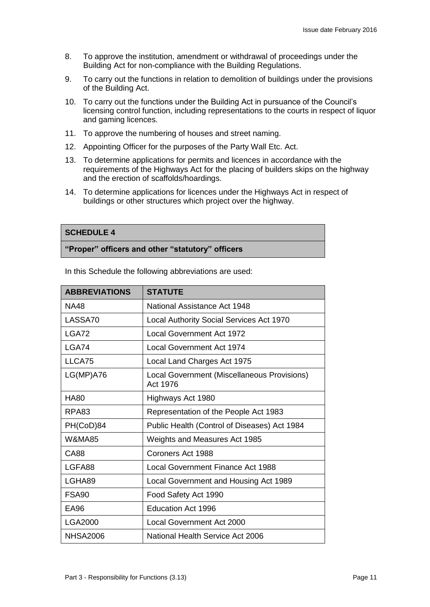- 8. To approve the institution, amendment or withdrawal of proceedings under the Building Act for non-compliance with the Building Regulations.
- 9. To carry out the functions in relation to demolition of buildings under the provisions of the Building Act.
- 10. To carry out the functions under the Building Act in pursuance of the Council's licensing control function, including representations to the courts in respect of liquor and gaming licences.
- 11. To approve the numbering of houses and street naming.
- 12. Appointing Officer for the purposes of the Party Wall Etc. Act.
- 13. To determine applications for permits and licences in accordance with the requirements of the Highways Act for the placing of builders skips on the highway and the erection of scaffolds/hoardings.
- 14. To determine applications for licences under the Highways Act in respect of buildings or other structures which project over the highway.

### **SCHEDULE 4**

#### **"Proper" officers and other "statutory" officers**

| <b>ABBREVIATIONS</b> | <b>STATUTE</b>                                          |
|----------------------|---------------------------------------------------------|
| <b>NA48</b>          | National Assistance Act 1948                            |
| LASSA70              | Local Authority Social Services Act 1970                |
| LGA72                | <b>Local Government Act 1972</b>                        |
| LGA74                | <b>Local Government Act 1974</b>                        |
| LLCA75               | Local Land Charges Act 1975                             |
| $LG(MP)$ A76         | Local Government (Miscellaneous Provisions)<br>Act 1976 |
| <b>HA80</b>          | Highways Act 1980                                       |
| RPA83                | Representation of the People Act 1983                   |
| PH(CoD)84            | Public Health (Control of Diseases) Act 1984            |
| <b>W&amp;MA85</b>    | <b>Weights and Measures Act 1985</b>                    |
| <b>CA88</b>          | Coroners Act 1988                                       |
| LGFA88               | Local Government Finance Act 1988                       |
| LGHA89               | Local Government and Housing Act 1989                   |
| FSA <sub>90</sub>    | Food Safety Act 1990                                    |
| <b>EA96</b>          | <b>Education Act 1996</b>                               |
| <b>LGA2000</b>       | <b>Local Government Act 2000</b>                        |
| <b>NHSA2006</b>      | National Health Service Act 2006                        |

In this Schedule the following abbreviations are used: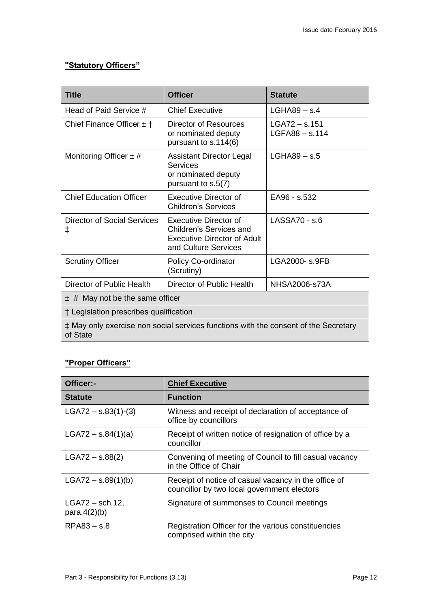# **"Statutory Officers"**

| <b>Title</b>                                                                                    | <b>Officer</b>                                                                                                 | <b>Statute</b>                    |
|-------------------------------------------------------------------------------------------------|----------------------------------------------------------------------------------------------------------------|-----------------------------------|
| Head of Paid Service #                                                                          | <b>Chief Executive</b>                                                                                         | $LGHAB9 - S.4$                    |
| Chief Finance Officer $\pm$ $\uparrow$                                                          | Director of Resources<br>or nominated deputy<br>pursuant to s.114(6)                                           | LGA72 – s.151<br>$LGFA88 - s.114$ |
| Monitoring Officer $\pm$ #                                                                      | Assistant Director Legal<br><b>Services</b><br>or nominated deputy<br>pursuant to s.5(7)                       | $LGHAB9 - s.5$                    |
| <b>Chief Education Officer</b>                                                                  | Executive Director of<br><b>Children's Services</b>                                                            | EA96 - s.532                      |
| Director of Social Services<br>ŧ                                                                | Executive Director of<br>Children's Services and<br><b>Executive Director of Adult</b><br>and Culture Services | LASSA70 - s.6                     |
| <b>Scrutiny Officer</b>                                                                         | <b>Policy Co-ordinator</b><br>(Scrutiny)                                                                       | LGA2000- s.9FB                    |
| Director of Public Health                                                                       | Director of Public Health                                                                                      | <b>NHSA2006-s73A</b>              |
| $\pm$ # May not be the same officer                                                             |                                                                                                                |                                   |
| † Legislation prescribes qualification                                                          |                                                                                                                |                                   |
| ‡ May only exercise non social services functions with the consent of the Secretary<br>of State |                                                                                                                |                                   |

# **"Proper Officers"**

| Officer:-                            | <b>Chief Executive</b>                                                                              |
|--------------------------------------|-----------------------------------------------------------------------------------------------------|
| <b>Statute</b>                       | <b>Function</b>                                                                                     |
| LGA72 $-$ s.83(1)-(3)                | Witness and receipt of declaration of acceptance of<br>office by councillors                        |
| $LGA72 - s.84(1)(a)$                 | Receipt of written notice of resignation of office by a<br>councillor                               |
| $LGAY2 - s.88(2)$                    | Convening of meeting of Council to fill casual vacancy<br>in the Office of Chair                    |
| $LGA72 - s.89(1)(b)$                 | Receipt of notice of casual vacancy in the office of<br>councillor by two local government electors |
| $LGAY2$ – sch.12,<br>para. $4(2)(b)$ | Signature of summonses to Council meetings                                                          |
| RPA83 – s.8                          | Registration Officer for the various constituencies<br>comprised within the city                    |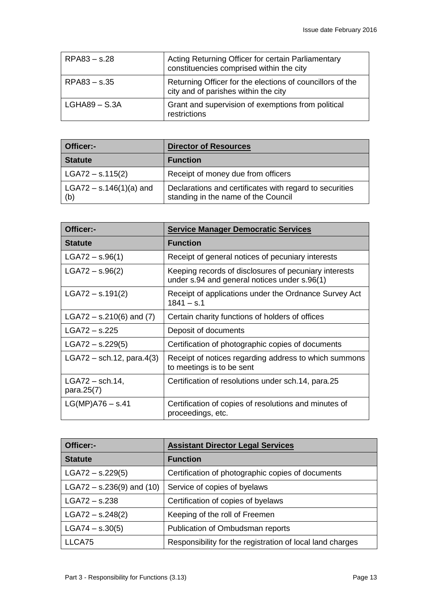| $RPA83 - S.28$  | Acting Returning Officer for certain Parliamentary<br>constituencies comprised within the city    |
|-----------------|---------------------------------------------------------------------------------------------------|
| RPA83 - s.35    | Returning Officer for the elections of councillors of the<br>city and of parishes within the city |
| $LGHAB9 - S.3A$ | Grant and supervision of exemptions from political<br>restrictions                                |

| Officer:-                        | <b>Director of Resources</b>                                                                   |  |
|----------------------------------|------------------------------------------------------------------------------------------------|--|
| <b>Statute</b>                   | <b>Function</b>                                                                                |  |
| $LGAY2 - s.115(2)$               | Receipt of money due from officers                                                             |  |
| LGA72 – $s.146(1)(a)$ and<br>(b) | Declarations and certificates with regard to securities<br>standing in the name of the Council |  |

| Officer:-                       | <b>Service Manager Democratic Services</b>                                                            |
|---------------------------------|-------------------------------------------------------------------------------------------------------|
| <b>Statute</b>                  | <b>Function</b>                                                                                       |
| $LGAY2 - s.96(1)$               | Receipt of general notices of pecuniary interests                                                     |
| $LGA72 - s.96(2)$               | Keeping records of disclosures of pecuniary interests<br>under s.94 and general notices under s.96(1) |
| $LGAY2 - S.191(2)$              | Receipt of applications under the Ordnance Survey Act<br>$1841 - s.1$                                 |
| LGA72 – s.210(6) and $(7)$      | Certain charity functions of holders of offices                                                       |
| $LGA72 - s.225$                 | Deposit of documents                                                                                  |
| $LGA72 - s.229(5)$              | Certification of photographic copies of documents                                                     |
| $LGA72$ – sch.12, para.4(3)     | Receipt of notices regarding address to which summons<br>to meetings is to be sent                    |
| $LGAY2$ – sch.14,<br>para.25(7) | Certification of resolutions under sch.14, para.25                                                    |
| $LG(MP)$ A76 – s.41             | Certification of copies of resolutions and minutes of<br>proceedings, etc.                            |

| Officer:-                     | <b>Assistant Director Legal Services</b>                  |  |
|-------------------------------|-----------------------------------------------------------|--|
| <b>Statute</b>                | <b>Function</b>                                           |  |
| $LGAY2 - s.229(5)$            | Certification of photographic copies of documents         |  |
| LGA72 – $s.236(9)$ and $(10)$ | Service of copies of byelaws                              |  |
| $LGA72 - S.238$               | Certification of copies of byelaws                        |  |
| $LGA72 - s.248(2)$            | Keeping of the roll of Freemen                            |  |
| $LGA74 - s.30(5)$             | Publication of Ombudsman reports                          |  |
| LLCA75                        | Responsibility for the registration of local land charges |  |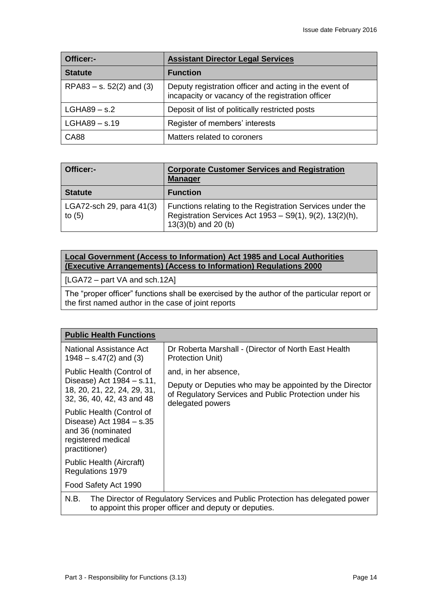| Officer:-                  | <b>Assistant Director Legal Services</b>                                                                    |
|----------------------------|-------------------------------------------------------------------------------------------------------------|
| <b>Statute</b>             | <b>Function</b>                                                                                             |
| RPA83 – s. $52(2)$ and (3) | Deputy registration officer and acting in the event of<br>incapacity or vacancy of the registration officer |
| $LGHAB9 - s.2$             | Deposit of list of politically restricted posts                                                             |
| $LGHAB9 - s.19$            | Register of members' interests                                                                              |
| <b>CA88</b>                | Matters related to coroners                                                                                 |

| Officer:-                            | <b>Corporate Customer Services and Registration</b><br><b>Manager</b>                                                                         |
|--------------------------------------|-----------------------------------------------------------------------------------------------------------------------------------------------|
| <b>Statute</b>                       | <b>Function</b>                                                                                                                               |
| LGA72-sch 29, para 41(3)<br>to $(5)$ | Functions relating to the Registration Services under the<br>Registration Services Act 1953 - S9(1), 9(2), 13(2)(h),<br>$13(3)(b)$ and 20 (b) |

# **Local Government (Access to Information) Act 1985 and Local Authorities (Executive Arrangements) (Access to Information) Regulations 2000**

[LGA72 – part VA and sch.12A]

The "proper officer" functions shall be exercised by the author of the particular report or the first named author in the case of joint reports

| <b>Public Health Functions</b>                                                                                                                  |                                                                                                                                       |  |
|-------------------------------------------------------------------------------------------------------------------------------------------------|---------------------------------------------------------------------------------------------------------------------------------------|--|
| <b>National Assistance Act</b><br>$1948 - s.47(2)$ and (3)                                                                                      | Dr Roberta Marshall - (Director of North East Health<br>Protection Unit)                                                              |  |
| Public Health (Control of                                                                                                                       | and, in her absence,                                                                                                                  |  |
| Disease) Act 1984 – s.11,<br>18, 20, 21, 22, 24, 29, 31,<br>32, 36, 40, 42, 43 and 48                                                           | Deputy or Deputies who may be appointed by the Director<br>of Regulatory Services and Public Protection under his<br>delegated powers |  |
| Public Health (Control of<br>Disease) Act 1984 – s.35<br>and 36 (nominated<br>registered medical<br>practitioner)                               |                                                                                                                                       |  |
| Public Health (Aircraft)<br>Regulations 1979                                                                                                    |                                                                                                                                       |  |
| Food Safety Act 1990                                                                                                                            |                                                                                                                                       |  |
| N.B.<br>The Director of Regulatory Services and Public Protection has delegated power<br>to appoint this proper officer and deputy or deputies. |                                                                                                                                       |  |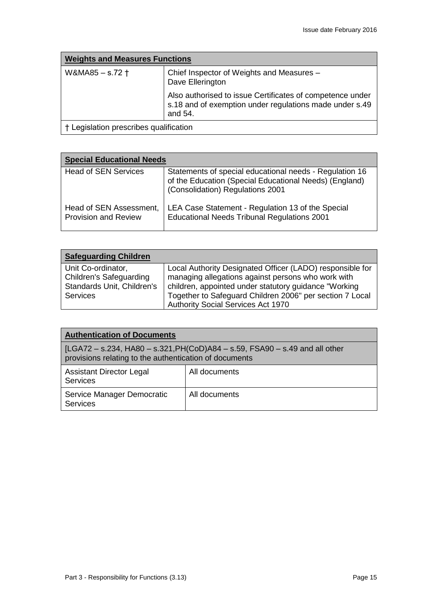| <b>Weights and Measures Functions</b>  |                                                                                                                                 |
|----------------------------------------|---------------------------------------------------------------------------------------------------------------------------------|
| W&MA85 - s.72 +                        | Chief Inspector of Weights and Measures -<br>Dave Ellerington                                                                   |
|                                        | Also authorised to issue Certificates of competence under<br>s.18 and of exemption under regulations made under s.49<br>and 54. |
| † Legislation prescribes qualification |                                                                                                                                 |

| <b>Special Educational Needs</b>                       |                                                                                                                                                       |  |
|--------------------------------------------------------|-------------------------------------------------------------------------------------------------------------------------------------------------------|--|
| <b>Head of SEN Services</b>                            | Statements of special educational needs - Regulation 16<br>of the Education (Special Educational Needs) (England)<br>(Consolidation) Regulations 2001 |  |
| Head of SEN Assessment,<br><b>Provision and Review</b> | LEA Case Statement - Regulation 13 of the Special<br><b>Educational Needs Tribunal Regulations 2001</b>                                               |  |

| <b>Safeguarding Children</b>   |                                                           |
|--------------------------------|-----------------------------------------------------------|
| Unit Co-ordinator,             | Local Authority Designated Officer (LADO) responsible for |
| <b>Children's Safeguarding</b> | managing allegations against persons who work with        |
| Standards Unit, Children's     | children, appointed under statutory guidance "Working"    |
| <b>Services</b>                | Together to Safeguard Children 2006" per section 7 Local  |
|                                | Authority Social Services Act 1970                        |

| <b>Authentication of Documents</b>                                                                                                   |               |  |
|--------------------------------------------------------------------------------------------------------------------------------------|---------------|--|
| [LGA72 – s.234, HA80 – s.321,PH(CoD)A84 – s.59, FSA90 – s.49 and all other<br>provisions relating to the authentication of documents |               |  |
| <b>Assistant Director Legal</b><br>Services                                                                                          | All documents |  |
| Service Manager Democratic<br><b>Services</b>                                                                                        | All documents |  |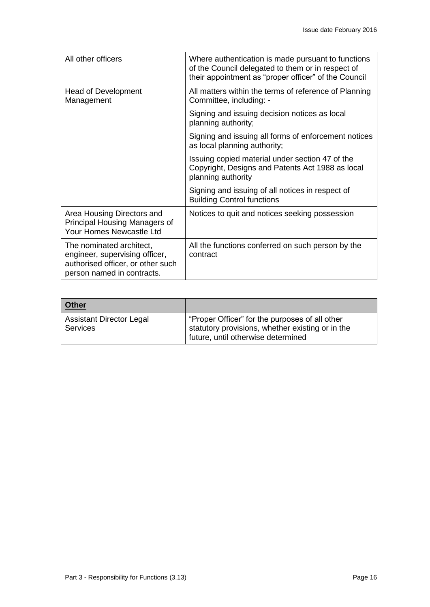| All other officers                                                                                                            | Where authentication is made pursuant to functions<br>of the Council delegated to them or in respect of<br>their appointment as "proper officer" of the Council |
|-------------------------------------------------------------------------------------------------------------------------------|-----------------------------------------------------------------------------------------------------------------------------------------------------------------|
| Head of Development<br>Management                                                                                             | All matters within the terms of reference of Planning<br>Committee, including: -                                                                                |
|                                                                                                                               | Signing and issuing decision notices as local<br>planning authority;                                                                                            |
|                                                                                                                               | Signing and issuing all forms of enforcement notices<br>as local planning authority;                                                                            |
|                                                                                                                               | Issuing copied material under section 47 of the<br>Copyright, Designs and Patents Act 1988 as local<br>planning authority                                       |
|                                                                                                                               | Signing and issuing of all notices in respect of<br><b>Building Control functions</b>                                                                           |
| Area Housing Directors and<br>Principal Housing Managers of<br>Your Homes Newcastle Ltd                                       | Notices to quit and notices seeking possession                                                                                                                  |
| The nominated architect,<br>engineer, supervising officer,<br>authorised officer, or other such<br>person named in contracts. | All the functions conferred on such person by the<br>contract                                                                                                   |

| <b>Other</b>                                |                                                                                                                                          |
|---------------------------------------------|------------------------------------------------------------------------------------------------------------------------------------------|
| <b>Assistant Director Legal</b><br>Services | "Proper Officer" for the purposes of all other<br>statutory provisions, whether existing or in the<br>future, until otherwise determined |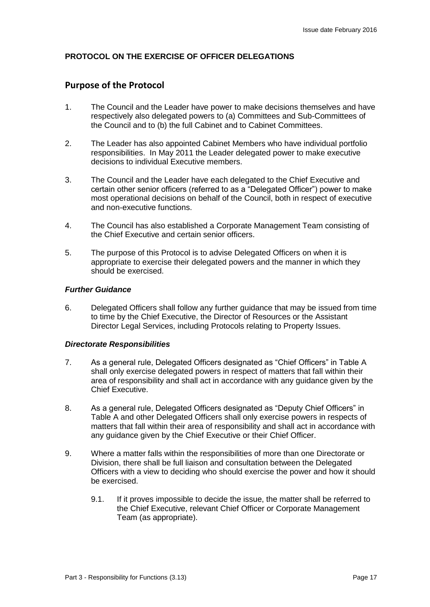# **PROTOCOL ON THE EXERCISE OF OFFICER DELEGATIONS**

# **Purpose of the Protocol**

- 1. The Council and the Leader have power to make decisions themselves and have respectively also delegated powers to (a) Committees and Sub-Committees of the Council and to (b) the full Cabinet and to Cabinet Committees.
- 2. The Leader has also appointed Cabinet Members who have individual portfolio responsibilities. In May 2011 the Leader delegated power to make executive decisions to individual Executive members.
- 3. The Council and the Leader have each delegated to the Chief Executive and certain other senior officers (referred to as a "Delegated Officer") power to make most operational decisions on behalf of the Council, both in respect of executive and non-executive functions.
- 4. The Council has also established a Corporate Management Team consisting of the Chief Executive and certain senior officers.
- 5. The purpose of this Protocol is to advise Delegated Officers on when it is appropriate to exercise their delegated powers and the manner in which they should be exercised.

#### *Further Guidance*

6. Delegated Officers shall follow any further guidance that may be issued from time to time by the Chief Executive, the Director of Resources or the Assistant Director Legal Services, including Protocols relating to Property Issues.

#### *Directorate Responsibilities*

- 7. As a general rule, Delegated Officers designated as "Chief Officers" in Table A shall only exercise delegated powers in respect of matters that fall within their area of responsibility and shall act in accordance with any guidance given by the Chief Executive.
- 8. As a general rule, Delegated Officers designated as "Deputy Chief Officers" in Table A and other Delegated Officers shall only exercise powers in respects of matters that fall within their area of responsibility and shall act in accordance with any guidance given by the Chief Executive or their Chief Officer.
- 9. Where a matter falls within the responsibilities of more than one Directorate or Division, there shall be full liaison and consultation between the Delegated Officers with a view to deciding who should exercise the power and how it should be exercised.
	- 9.1. If it proves impossible to decide the issue, the matter shall be referred to the Chief Executive, relevant Chief Officer or Corporate Management Team (as appropriate).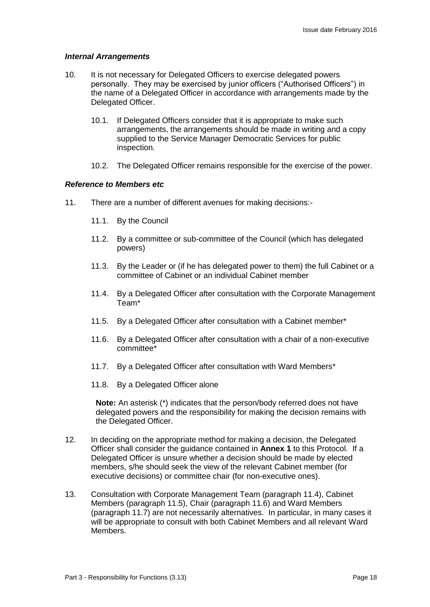#### *Internal Arrangements*

- 10. It is not necessary for Delegated Officers to exercise delegated powers personally. They may be exercised by junior officers ("Authorised Officers") in the name of a Delegated Officer in accordance with arrangements made by the Delegated Officer.
	- 10.1. If Delegated Officers consider that it is appropriate to make such arrangements, the arrangements should be made in writing and a copy supplied to the Service Manager Democratic Services for public inspection.
	- 10.2. The Delegated Officer remains responsible for the exercise of the power.

#### *Reference to Members etc*

- 11. There are a number of different avenues for making decisions:-
	- 11.1. By the Council
	- 11.2. By a committee or sub-committee of the Council (which has delegated powers)
	- 11.3. By the Leader or (if he has delegated power to them) the full Cabinet or a committee of Cabinet or an individual Cabinet member
	- 11.4. By a Delegated Officer after consultation with the Corporate Management Team\*
	- 11.5. By a Delegated Officer after consultation with a Cabinet member\*
	- 11.6. By a Delegated Officer after consultation with a chair of a non-executive committee\*
	- 11.7. By a Delegated Officer after consultation with Ward Members\*
	- 11.8. By a Delegated Officer alone

**Note:** An asterisk (\*) indicates that the person/body referred does not have delegated powers and the responsibility for making the decision remains with the Delegated Officer.

- 12. In deciding on the appropriate method for making a decision, the Delegated Officer shall consider the guidance contained in **Annex 1** to this Protocol. If a Delegated Officer is unsure whether a decision should be made by elected members, s/he should seek the view of the relevant Cabinet member (for executive decisions) or committee chair (for non-executive ones).
- 13. Consultation with Corporate Management Team (paragraph 11.4), Cabinet Members (paragraph 11.5), Chair (paragraph 11.6) and Ward Members (paragraph 11.7) are not necessarily alternatives. In particular, in many cases it will be appropriate to consult with both Cabinet Members and all relevant Ward **Members**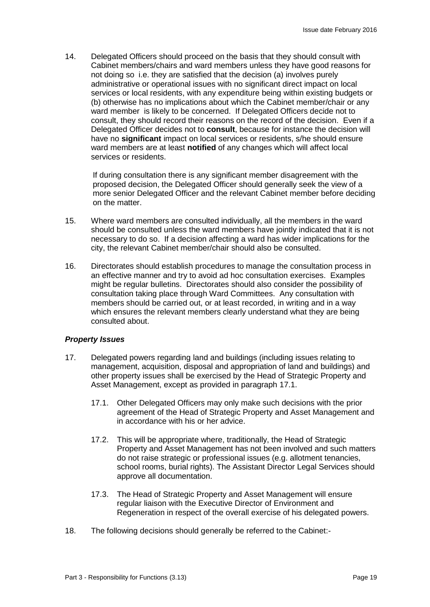14. Delegated Officers should proceed on the basis that they should consult with Cabinet members/chairs and ward members unless they have good reasons for not doing so i.e. they are satisfied that the decision (a) involves purely administrative or operational issues with no significant direct impact on local services or local residents, with any expenditure being within existing budgets or (b) otherwise has no implications about which the Cabinet member/chair or any ward member is likely to be concerned. If Delegated Officers decide not to consult, they should record their reasons on the record of the decision. Even if a Delegated Officer decides not to **consult**, because for instance the decision will have no **significant** impact on local services or residents, s/he should ensure ward members are at least **notified** of any changes which will affect local services or residents.

If during consultation there is any significant member disagreement with the proposed decision, the Delegated Officer should generally seek the view of a more senior Delegated Officer and the relevant Cabinet member before deciding on the matter.

- 15. Where ward members are consulted individually, all the members in the ward should be consulted unless the ward members have jointly indicated that it is not necessary to do so. If a decision affecting a ward has wider implications for the city, the relevant Cabinet member/chair should also be consulted.
- 16. Directorates should establish procedures to manage the consultation process in an effective manner and try to avoid ad hoc consultation exercises. Examples might be regular bulletins. Directorates should also consider the possibility of consultation taking place through Ward Committees. Any consultation with members should be carried out, or at least recorded, in writing and in a way which ensures the relevant members clearly understand what they are being consulted about.

### *Property Issues*

- 17. Delegated powers regarding land and buildings (including issues relating to management, acquisition, disposal and appropriation of land and buildings) and other property issues shall be exercised by the Head of Strategic Property and Asset Management, except as provided in paragraph 17.1.
	- 17.1. Other Delegated Officers may only make such decisions with the prior agreement of the Head of Strategic Property and Asset Management and in accordance with his or her advice.
	- 17.2. This will be appropriate where, traditionally, the Head of Strategic Property and Asset Management has not been involved and such matters do not raise strategic or professional issues (e.g. allotment tenancies, school rooms, burial rights). The Assistant Director Legal Services should approve all documentation.
	- 17.3. The Head of Strategic Property and Asset Management will ensure regular liaison with the Executive Director of Environment and Regeneration in respect of the overall exercise of his delegated powers.
- 18. The following decisions should generally be referred to the Cabinet:-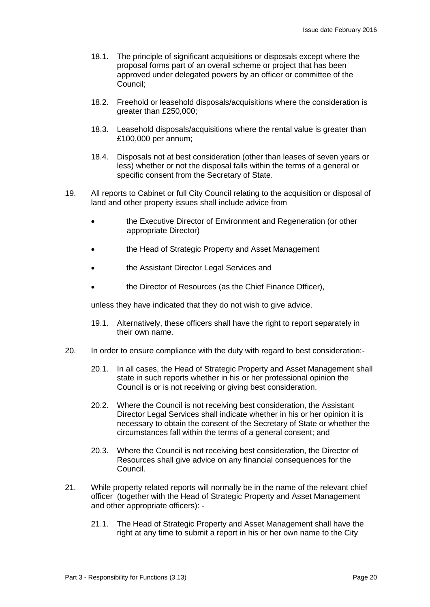- 18.1. The principle of significant acquisitions or disposals except where the proposal forms part of an overall scheme or project that has been approved under delegated powers by an officer or committee of the Council;
- 18.2. Freehold or leasehold disposals/acquisitions where the consideration is greater than £250,000;
- 18.3. Leasehold disposals/acquisitions where the rental value is greater than £100,000 per annum;
- 18.4. Disposals not at best consideration (other than leases of seven years or less) whether or not the disposal falls within the terms of a general or specific consent from the Secretary of State.
- 19. All reports to Cabinet or full City Council relating to the acquisition or disposal of land and other property issues shall include advice from
	- the Executive Director of Environment and Regeneration (or other appropriate Director)
	- the Head of Strategic Property and Asset Management
	- the Assistant Director Legal Services and
	- the Director of Resources (as the Chief Finance Officer),

unless they have indicated that they do not wish to give advice.

- 19.1. Alternatively, these officers shall have the right to report separately in their own name.
- 20. In order to ensure compliance with the duty with regard to best consideration:-
	- 20.1. In all cases, the Head of Strategic Property and Asset Management shall state in such reports whether in his or her professional opinion the Council is or is not receiving or giving best consideration.
	- 20.2. Where the Council is not receiving best consideration, the Assistant Director Legal Services shall indicate whether in his or her opinion it is necessary to obtain the consent of the Secretary of State or whether the circumstances fall within the terms of a general consent; and
	- 20.3. Where the Council is not receiving best consideration, the Director of Resources shall give advice on any financial consequences for the Council.
- 21. While property related reports will normally be in the name of the relevant chief officer (together with the Head of Strategic Property and Asset Management and other appropriate officers): -
	- 21.1. The Head of Strategic Property and Asset Management shall have the right at any time to submit a report in his or her own name to the City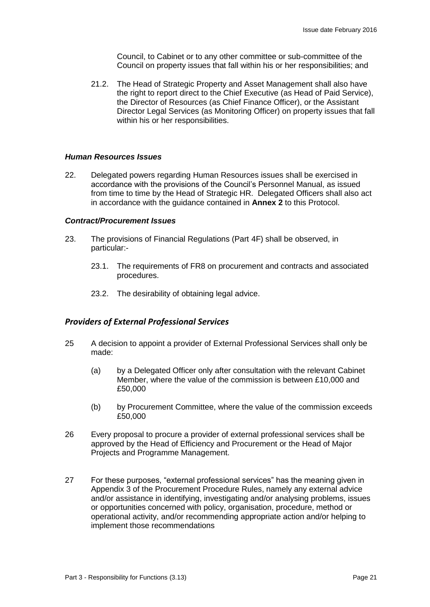Council, to Cabinet or to any other committee or sub-committee of the Council on property issues that fall within his or her responsibilities; and

21.2. The Head of Strategic Property and Asset Management shall also have the right to report direct to the Chief Executive (as Head of Paid Service), the Director of Resources (as Chief Finance Officer), or the Assistant Director Legal Services (as Monitoring Officer) on property issues that fall within his or her responsibilities.

#### *Human Resources Issues*

22. Delegated powers regarding Human Resources issues shall be exercised in accordance with the provisions of the Council's Personnel Manual, as issued from time to time by the Head of Strategic HR. Delegated Officers shall also act in accordance with the guidance contained in **Annex 2** to this Protocol.

#### *Contract/Procurement Issues*

- 23. The provisions of Financial Regulations (Part 4F) shall be observed, in particular:-
	- 23.1. The requirements of FR8 on procurement and contracts and associated procedures.
	- 23.2. The desirability of obtaining legal advice.

#### *Providers of External Professional Services*

- 25 A decision to appoint a provider of External Professional Services shall only be made:
	- (a) by a Delegated Officer only after consultation with the relevant Cabinet Member, where the value of the commission is between £10,000 and £50,000
	- (b) by Procurement Committee, where the value of the commission exceeds £50,000
- 26 Every proposal to procure a provider of external professional services shall be approved by the Head of Efficiency and Procurement or the Head of Major Projects and Programme Management.
- 27 For these purposes, "external professional services" has the meaning given in Appendix 3 of the Procurement Procedure Rules, namely any external advice and/or assistance in identifying, investigating and/or analysing problems, issues or opportunities concerned with policy, organisation, procedure, method or operational activity, and/or recommending appropriate action and/or helping to implement those recommendations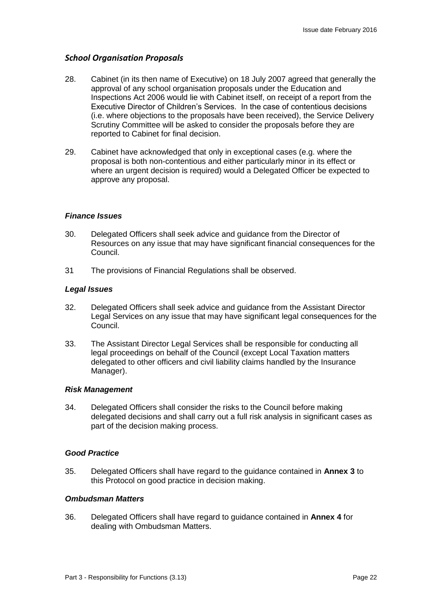# *School Organisation Proposals*

- 28. Cabinet (in its then name of Executive) on 18 July 2007 agreed that generally the approval of any school organisation proposals under the Education and Inspections Act 2006 would lie with Cabinet itself, on receipt of a report from the Executive Director of Children's Services. In the case of contentious decisions (i.e. where objections to the proposals have been received), the Service Delivery Scrutiny Committee will be asked to consider the proposals before they are reported to Cabinet for final decision.
- 29. Cabinet have acknowledged that only in exceptional cases (e.g. where the proposal is both non-contentious and either particularly minor in its effect or where an urgent decision is required) would a Delegated Officer be expected to approve any proposal.

#### *Finance Issues*

- 30. Delegated Officers shall seek advice and guidance from the Director of Resources on any issue that may have significant financial consequences for the Council.
- 31 The provisions of Financial Regulations shall be observed.

#### *Legal Issues*

- 32. Delegated Officers shall seek advice and guidance from the Assistant Director Legal Services on any issue that may have significant legal consequences for the Council.
- 33. The Assistant Director Legal Services shall be responsible for conducting all legal proceedings on behalf of the Council (except Local Taxation matters delegated to other officers and civil liability claims handled by the Insurance Manager).

#### *Risk Management*

34. Delegated Officers shall consider the risks to the Council before making delegated decisions and shall carry out a full risk analysis in significant cases as part of the decision making process.

#### *Good Practice*

35. Delegated Officers shall have regard to the guidance contained in **Annex 3** to this Protocol on good practice in decision making.

#### *Ombudsman Matters*

36. Delegated Officers shall have regard to guidance contained in **Annex 4** for dealing with Ombudsman Matters.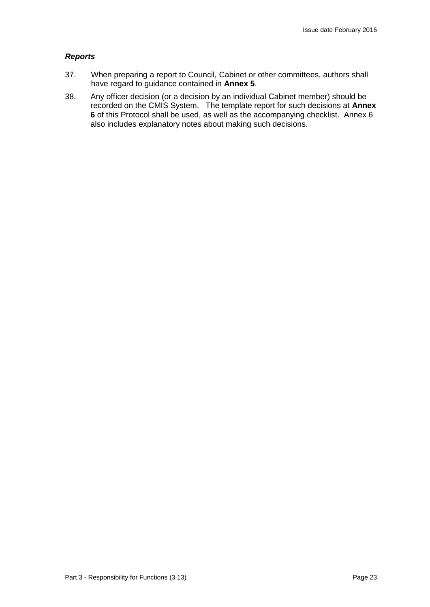### *Reports*

- 37. When preparing a report to Council, Cabinet or other committees, authors shall have regard to guidance contained in **Annex 5**.
- 38. Any officer decision (or a decision by an individual Cabinet member) should be recorded on the CMIS System. The template report for such decisions at **Annex 6** of this Protocol shall be used, as well as the accompanying checklist. Annex 6 also includes explanatory notes about making such decisions.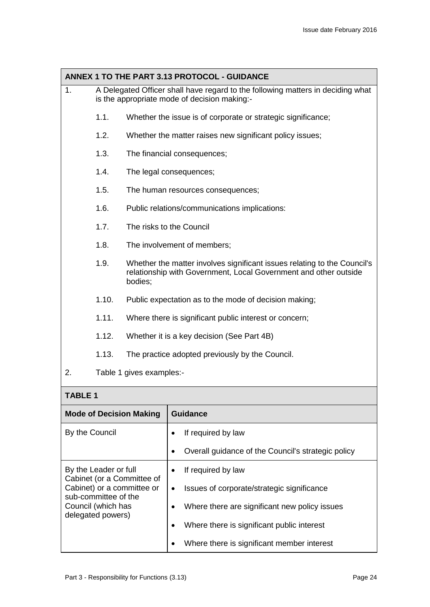| ANNEX 1 TO THE PART 3.13 PROTOCOL - GUIDANCE |                          |                                                                                                                                                         |
|----------------------------------------------|--------------------------|---------------------------------------------------------------------------------------------------------------------------------------------------------|
| 1.                                           |                          | A Delegated Officer shall have regard to the following matters in deciding what<br>is the appropriate mode of decision making:-                         |
|                                              | 1.1.                     | Whether the issue is of corporate or strategic significance;                                                                                            |
|                                              | 1.2.                     | Whether the matter raises new significant policy issues;                                                                                                |
|                                              | 1.3.                     | The financial consequences;                                                                                                                             |
|                                              | 1.4.                     | The legal consequences;                                                                                                                                 |
|                                              | 1.5.                     | The human resources consequences;                                                                                                                       |
|                                              | 1.6.                     | Public relations/communications implications:                                                                                                           |
|                                              | 1.7.                     | The risks to the Council                                                                                                                                |
|                                              | 1.8.                     | The involvement of members;                                                                                                                             |
|                                              | 1.9.                     | Whether the matter involves significant issues relating to the Council's<br>relationship with Government, Local Government and other outside<br>bodies; |
|                                              | 1.10.                    | Public expectation as to the mode of decision making;                                                                                                   |
|                                              | 1.11.                    | Where there is significant public interest or concern;                                                                                                  |
|                                              | 1.12.                    | Whether it is a key decision (See Part 4B)                                                                                                              |
|                                              | 1.13.                    | The practice adopted previously by the Council.                                                                                                         |
| 2.                                           | Table 1 gives examples:- |                                                                                                                                                         |

# **TABLE 1**

| <b>Mode of Decision Making</b>                                                                                                                       | <b>Guidance</b>                                                 |
|------------------------------------------------------------------------------------------------------------------------------------------------------|-----------------------------------------------------------------|
| By the Council                                                                                                                                       | If required by law                                              |
|                                                                                                                                                      | Overall guidance of the Council's strategic policy<br>$\bullet$ |
| By the Leader or full<br>Cabinet (or a Committee of<br>Cabinet) or a committee or<br>sub-committee of the<br>Council (which has<br>delegated powers) | If required by law                                              |
|                                                                                                                                                      | Issues of corporate/strategic significance                      |
|                                                                                                                                                      | Where there are significant new policy issues                   |
|                                                                                                                                                      | Where there is significant public interest                      |
|                                                                                                                                                      | Where there is significant member interest                      |
|                                                                                                                                                      |                                                                 |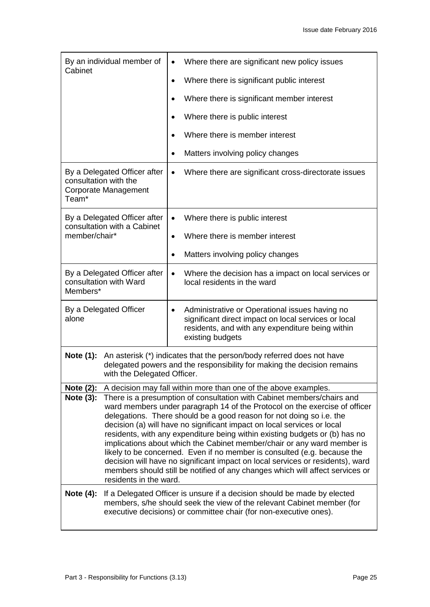| By an individual member of<br>Cabinet                                                                     | Where there are significant new policy issues<br>$\bullet$                                                                                                                                                                                                                                                                                                                                                                                                                                                                                                                                                                                                                                                                                 |  |
|-----------------------------------------------------------------------------------------------------------|--------------------------------------------------------------------------------------------------------------------------------------------------------------------------------------------------------------------------------------------------------------------------------------------------------------------------------------------------------------------------------------------------------------------------------------------------------------------------------------------------------------------------------------------------------------------------------------------------------------------------------------------------------------------------------------------------------------------------------------------|--|
|                                                                                                           | Where there is significant public interest<br>$\bullet$                                                                                                                                                                                                                                                                                                                                                                                                                                                                                                                                                                                                                                                                                    |  |
|                                                                                                           | Where there is significant member interest<br>$\bullet$                                                                                                                                                                                                                                                                                                                                                                                                                                                                                                                                                                                                                                                                                    |  |
|                                                                                                           | Where there is public interest<br>$\bullet$                                                                                                                                                                                                                                                                                                                                                                                                                                                                                                                                                                                                                                                                                                |  |
|                                                                                                           | Where there is member interest                                                                                                                                                                                                                                                                                                                                                                                                                                                                                                                                                                                                                                                                                                             |  |
|                                                                                                           | Matters involving policy changes                                                                                                                                                                                                                                                                                                                                                                                                                                                                                                                                                                                                                                                                                                           |  |
| By a Delegated Officer after<br>consultation with the<br><b>Corporate Management</b><br>Team <sup>*</sup> | Where there are significant cross-directorate issues<br>$\bullet$                                                                                                                                                                                                                                                                                                                                                                                                                                                                                                                                                                                                                                                                          |  |
| By a Delegated Officer after<br>consultation with a Cabinet                                               | Where there is public interest<br>$\bullet$                                                                                                                                                                                                                                                                                                                                                                                                                                                                                                                                                                                                                                                                                                |  |
| member/chair*                                                                                             | Where there is member interest<br>$\bullet$                                                                                                                                                                                                                                                                                                                                                                                                                                                                                                                                                                                                                                                                                                |  |
|                                                                                                           | Matters involving policy changes<br>$\bullet$                                                                                                                                                                                                                                                                                                                                                                                                                                                                                                                                                                                                                                                                                              |  |
| By a Delegated Officer after<br>consultation with Ward<br>Members*                                        | Where the decision has a impact on local services or<br>$\bullet$<br>local residents in the ward                                                                                                                                                                                                                                                                                                                                                                                                                                                                                                                                                                                                                                           |  |
| By a Delegated Officer<br>alone                                                                           | Administrative or Operational issues having no<br>$\bullet$<br>significant direct impact on local services or local<br>residents, and with any expenditure being within<br>existing budgets                                                                                                                                                                                                                                                                                                                                                                                                                                                                                                                                                |  |
| Note (1):                                                                                                 | An asterisk (*) indicates that the person/body referred does not have<br>delegated powers and the responsibility for making the decision remains<br>with the Delegated Officer.                                                                                                                                                                                                                                                                                                                                                                                                                                                                                                                                                            |  |
| Note $(2)$ :                                                                                              | A decision may fall within more than one of the above examples.                                                                                                                                                                                                                                                                                                                                                                                                                                                                                                                                                                                                                                                                            |  |
| Note (3):                                                                                                 | There is a presumption of consultation with Cabinet members/chairs and<br>ward members under paragraph 14 of the Protocol on the exercise of officer<br>delegations. There should be a good reason for not doing so i.e. the<br>decision (a) will have no significant impact on local services or local<br>residents, with any expenditure being within existing budgets or (b) has no<br>implications about which the Cabinet member/chair or any ward member is<br>likely to be concerned. Even if no member is consulted (e.g. because the<br>decision will have no significant impact on local services or residents), ward<br>members should still be notified of any changes which will affect services or<br>residents in the ward. |  |
| Note $(4)$ :                                                                                              | If a Delegated Officer is unsure if a decision should be made by elected<br>members, s/he should seek the view of the relevant Cabinet member (for<br>executive decisions) or committee chair (for non-executive ones).                                                                                                                                                                                                                                                                                                                                                                                                                                                                                                                    |  |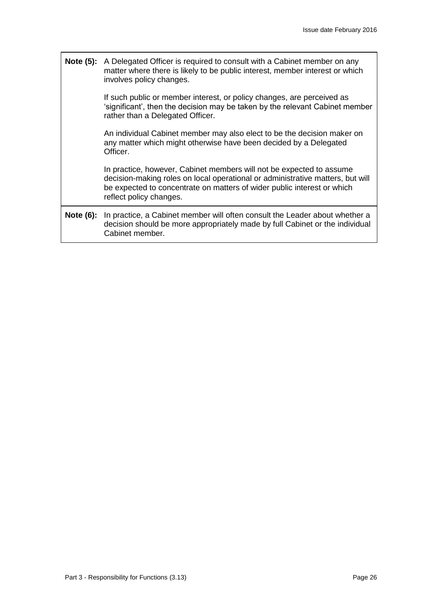**Note (5):** A Delegated Officer is required to consult with a Cabinet member on any matter where there is likely to be public interest, member interest or which involves policy changes.

> If such public or member interest, or policy changes, are perceived as 'significant', then the decision may be taken by the relevant Cabinet member rather than a Delegated Officer.

An individual Cabinet member may also elect to be the decision maker on any matter which might otherwise have been decided by a Delegated Officer.

In practice, however, Cabinet members will not be expected to assume decision-making roles on local operational or administrative matters, but will be expected to concentrate on matters of wider public interest or which reflect policy changes.

**Note (6):** In practice, a Cabinet member will often consult the Leader about whether a decision should be more appropriately made by full Cabinet or the individual Cabinet member.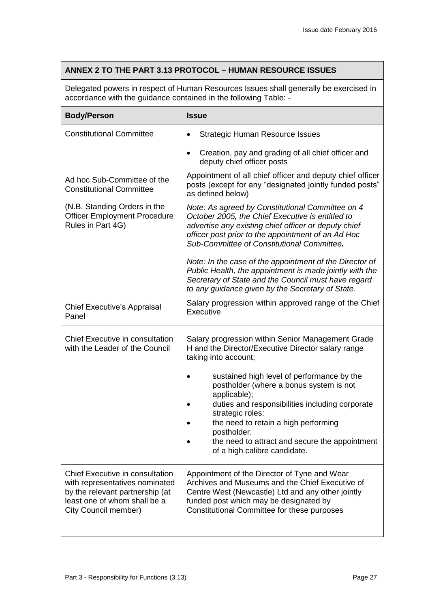# **ANNEX 2 TO THE PART 3.13 PROTOCOL – HUMAN RESOURCE ISSUES**

Delegated powers in respect of Human Resources Issues shall generally be exercised in accordance with the guidance contained in the following Table: -

| <b>Body/Person</b>                                                                                                                                                  | <b>Issue</b>                                                                                                                                                                                                                                                     |
|---------------------------------------------------------------------------------------------------------------------------------------------------------------------|------------------------------------------------------------------------------------------------------------------------------------------------------------------------------------------------------------------------------------------------------------------|
| <b>Constitutional Committee</b>                                                                                                                                     | <b>Strategic Human Resource Issues</b><br>$\bullet$                                                                                                                                                                                                              |
|                                                                                                                                                                     | Creation, pay and grading of all chief officer and<br>$\bullet$<br>deputy chief officer posts                                                                                                                                                                    |
| Ad hoc Sub-Committee of the<br><b>Constitutional Committee</b>                                                                                                      | Appointment of all chief officer and deputy chief officer<br>posts (except for any "designated jointly funded posts"<br>as defined below)                                                                                                                        |
| (N.B. Standing Orders in the<br><b>Officer Employment Procedure</b><br>Rules in Part 4G)                                                                            | Note: As agreed by Constitutional Committee on 4<br>October 2005, the Chief Executive is entitled to<br>advertise any existing chief officer or deputy chief<br>officer post prior to the appointment of an Ad Hoc<br>Sub-Committee of Constitutional Committee. |
|                                                                                                                                                                     | Note: In the case of the appointment of the Director of<br>Public Health, the appointment is made jointly with the<br>Secretary of State and the Council must have regard<br>to any guidance given by the Secretary of State.                                    |
| <b>Chief Executive's Appraisal</b><br>Panel                                                                                                                         | Salary progression within approved range of the Chief<br>Executive                                                                                                                                                                                               |
| <b>Chief Executive in consultation</b><br>with the Leader of the Council                                                                                            | Salary progression within Senior Management Grade<br>H and the Director/Executive Director salary range<br>taking into account;                                                                                                                                  |
|                                                                                                                                                                     | sustained high level of performance by the<br>postholder (where a bonus system is not<br>applicable);<br>duties and responsibilities including corporate<br>strategic roles:<br>the need to retain a high performing                                             |
|                                                                                                                                                                     | postholder.<br>the need to attract and secure the appointment<br>of a high calibre candidate.                                                                                                                                                                    |
| <b>Chief Executive in consultation</b><br>with representatives nominated<br>by the relevant partnership (at<br>least one of whom shall be a<br>City Council member) | Appointment of the Director of Tyne and Wear<br>Archives and Museums and the Chief Executive of<br>Centre West (Newcastle) Ltd and any other jointly<br>funded post which may be designated by<br>Constitutional Committee for these purposes                    |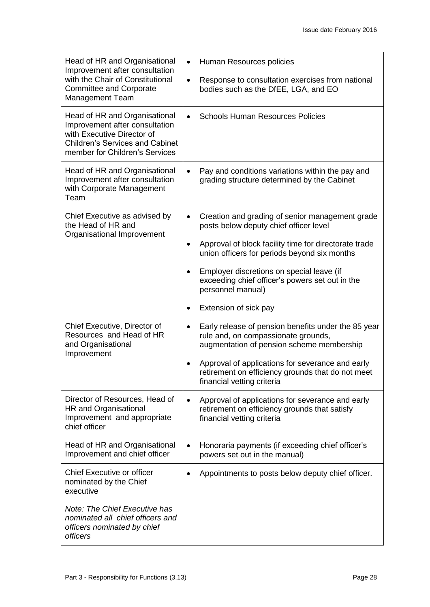| Head of HR and Organisational<br>Improvement after consultation                                                                                                           | Human Resources policies<br>$\bullet$                                                                                                                |
|---------------------------------------------------------------------------------------------------------------------------------------------------------------------------|------------------------------------------------------------------------------------------------------------------------------------------------------|
| with the Chair of Constitutional<br><b>Committee and Corporate</b><br><b>Management Team</b>                                                                              | Response to consultation exercises from national<br>$\bullet$<br>bodies such as the DfEE, LGA, and EO                                                |
| Head of HR and Organisational<br>Improvement after consultation<br>with Executive Director of<br><b>Children's Services and Cabinet</b><br>member for Children's Services | <b>Schools Human Resources Policies</b><br>$\bullet$                                                                                                 |
| Head of HR and Organisational<br>Improvement after consultation<br>with Corporate Management<br>Team                                                                      | Pay and conditions variations within the pay and<br>$\bullet$<br>grading structure determined by the Cabinet                                         |
| Chief Executive as advised by<br>the Head of HR and<br>Organisational Improvement                                                                                         | Creation and grading of senior management grade<br>$\bullet$<br>posts below deputy chief officer level                                               |
|                                                                                                                                                                           | Approval of block facility time for directorate trade<br>$\bullet$<br>union officers for periods beyond six months                                   |
|                                                                                                                                                                           | Employer discretions on special leave (if<br>$\bullet$<br>exceeding chief officer's powers set out in the<br>personnel manual)                       |
|                                                                                                                                                                           | Extension of sick pay                                                                                                                                |
| Chief Executive, Director of<br>Resources and Head of HR<br>and Organisational<br>Improvement                                                                             | Early release of pension benefits under the 85 year<br>$\bullet$<br>rule and, on compassionate grounds,<br>augmentation of pension scheme membership |
|                                                                                                                                                                           | Approval of applications for severance and early<br>$\bullet$<br>retirement on efficiency grounds that do not meet<br>financial vetting criteria     |
| Director of Resources, Head of<br>HR and Organisational<br>Improvement and appropriate<br>chief officer                                                                   | Approval of applications for severance and early<br>$\bullet$<br>retirement on efficiency grounds that satisfy<br>financial vetting criteria         |
| Head of HR and Organisational<br>Improvement and chief officer                                                                                                            | Honoraria payments (if exceeding chief officer's<br>$\bullet$<br>powers set out in the manual)                                                       |
| <b>Chief Executive or officer</b><br>nominated by the Chief<br>executive                                                                                                  | Appointments to posts below deputy chief officer.                                                                                                    |
| Note: The Chief Executive has<br>nominated all chief officers and<br>officers nominated by chief<br>officers                                                              |                                                                                                                                                      |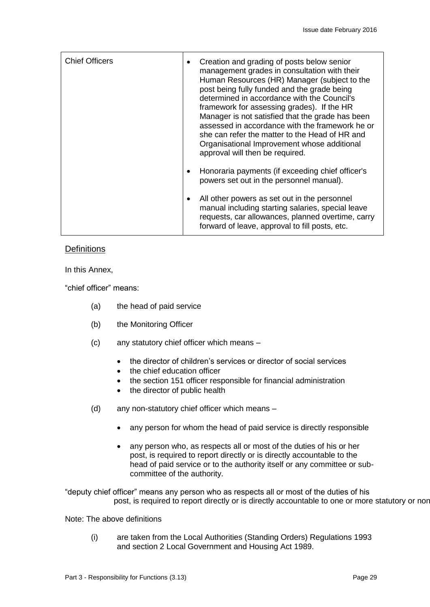| <b>Chief Officers</b> | Creation and grading of posts below senior<br>management grades in consultation with their<br>Human Resources (HR) Manager (subject to the<br>post being fully funded and the grade being<br>determined in accordance with the Council's<br>framework for assessing grades). If the HR<br>Manager is not satisfied that the grade has been<br>assessed in accordance with the framework he or<br>she can refer the matter to the Head of HR and<br>Organisational Improvement whose additional<br>approval will then be required. |
|-----------------------|-----------------------------------------------------------------------------------------------------------------------------------------------------------------------------------------------------------------------------------------------------------------------------------------------------------------------------------------------------------------------------------------------------------------------------------------------------------------------------------------------------------------------------------|
|                       | Honoraria payments (if exceeding chief officer's<br>powers set out in the personnel manual).                                                                                                                                                                                                                                                                                                                                                                                                                                      |
|                       | All other powers as set out in the personnel<br>$\bullet$<br>manual including starting salaries, special leave<br>requests, car allowances, planned overtime, carry<br>forward of leave, approval to fill posts, etc.                                                                                                                                                                                                                                                                                                             |

# **Definitions**

In this Annex,

"chief officer" means:

- (a) the head of paid service
- (b) the Monitoring Officer
- (c) any statutory chief officer which means
	- the director of children's services or director of social services
	- the chief education officer
	- the section 151 officer responsible for financial administration
	- the director of public health
- (d) any non-statutory chief officer which means
	- any person for whom the head of paid service is directly responsible
	- any person who, as respects all or most of the duties of his or her post, is required to report directly or is directly accountable to the head of paid service or to the authority itself or any committee or subcommittee of the authority.

"deputy chief officer" means any person who as respects all or most of the duties of his post, is required to report directly or is directly accountable to one or more statutory or nor-

#### Note: The above definitions

(i) are taken from the Local Authorities (Standing Orders) Regulations 1993 and section 2 Local Government and Housing Act 1989.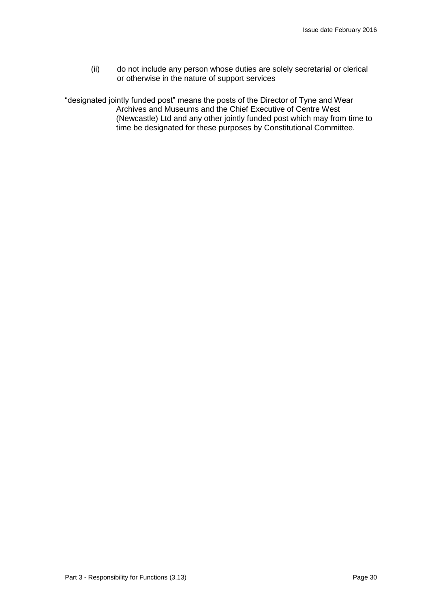(ii) do not include any person whose duties are solely secretarial or clerical or otherwise in the nature of support services

"designated jointly funded post" means the posts of the Director of Tyne and Wear Archives and Museums and the Chief Executive of Centre West (Newcastle) Ltd and any other jointly funded post which may from time to time be designated for these purposes by Constitutional Committee.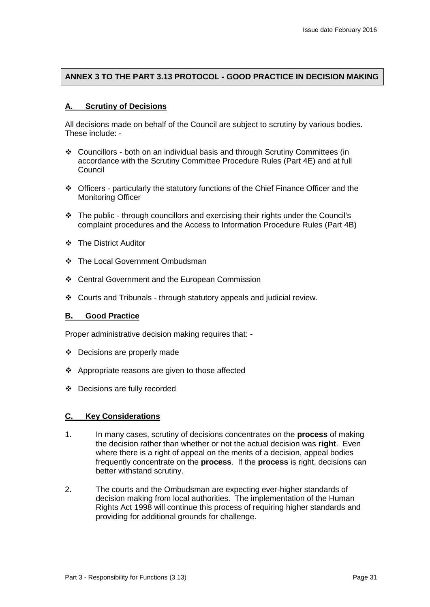# **ANNEX 3 TO THE PART 3.13 PROTOCOL - GOOD PRACTICE IN DECISION MAKING**

#### **A. Scrutiny of Decisions**

All decisions made on behalf of the Council are subject to scrutiny by various bodies. These include: -

- Councillors both on an individual basis and through Scrutiny Committees (in accordance with the Scrutiny Committee Procedure Rules (Part 4E) and at full **Council**
- Officers particularly the statutory functions of the Chief Finance Officer and the Monitoring Officer
- \* The public through councillors and exercising their rights under the Council's complaint procedures and the Access to Information Procedure Rules (Part 4B)
- ❖ The District Auditor
- ❖ The Local Government Ombudsman
- Central Government and the European Commission
- Courts and Tribunals through statutory appeals and judicial review.

#### **B. Good Practice**

Proper administrative decision making requires that: -

- Decisions are properly made
- ❖ Appropriate reasons are given to those affected
- Decisions are fully recorded

#### **C. Key Considerations**

- 1. In many cases, scrutiny of decisions concentrates on the **process** of making the decision rather than whether or not the actual decision was **right**. Even where there is a right of appeal on the merits of a decision, appeal bodies frequently concentrate on the **process**. If the **process** is right, decisions can better withstand scrutiny.
- 2. The courts and the Ombudsman are expecting ever-higher standards of decision making from local authorities. The implementation of the Human Rights Act 1998 will continue this process of requiring higher standards and providing for additional grounds for challenge.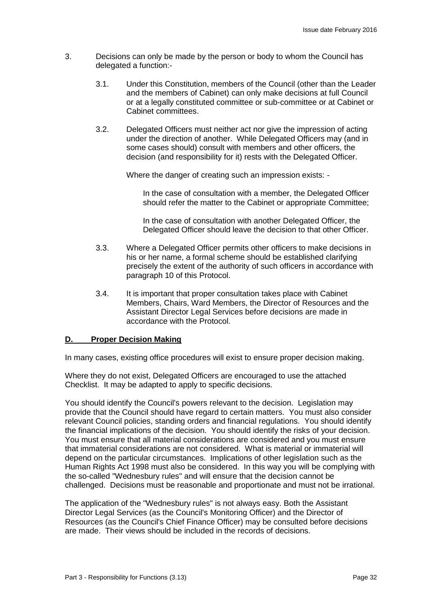- 3. Decisions can only be made by the person or body to whom the Council has delegated a function:-
	- 3.1. Under this Constitution, members of the Council (other than the Leader and the members of Cabinet) can only make decisions at full Council or at a legally constituted committee or sub-committee or at Cabinet or Cabinet committees.
	- 3.2. Delegated Officers must neither act nor give the impression of acting under the direction of another. While Delegated Officers may (and in some cases should) consult with members and other officers, the decision (and responsibility for it) rests with the Delegated Officer.

Where the danger of creating such an impression exists: -

In the case of consultation with a member, the Delegated Officer should refer the matter to the Cabinet or appropriate Committee;

In the case of consultation with another Delegated Officer, the Delegated Officer should leave the decision to that other Officer.

- 3.3. Where a Delegated Officer permits other officers to make decisions in his or her name, a formal scheme should be established clarifying precisely the extent of the authority of such officers in accordance with paragraph 10 of this Protocol.
- 3.4. It is important that proper consultation takes place with Cabinet Members, Chairs, Ward Members, the Director of Resources and the Assistant Director Legal Services before decisions are made in accordance with the Protocol.

### **D. Proper Decision Making**

In many cases, existing office procedures will exist to ensure proper decision making.

Where they do not exist, Delegated Officers are encouraged to use the attached Checklist. It may be adapted to apply to specific decisions.

You should identify the Council's powers relevant to the decision. Legislation may provide that the Council should have regard to certain matters. You must also consider relevant Council policies, standing orders and financial regulations. You should identify the financial implications of the decision. You should identify the risks of your decision. You must ensure that all material considerations are considered and you must ensure that immaterial considerations are not considered. What is material or immaterial will depend on the particular circumstances. Implications of other legislation such as the Human Rights Act 1998 must also be considered. In this way you will be complying with the so-called "Wednesbury rules" and will ensure that the decision cannot be challenged. Decisions must be reasonable and proportionate and must not be irrational.

The application of the "Wednesbury rules" is not always easy. Both the Assistant Director Legal Services (as the Council's Monitoring Officer) and the Director of Resources (as the Council's Chief Finance Officer) may be consulted before decisions are made. Their views should be included in the records of decisions.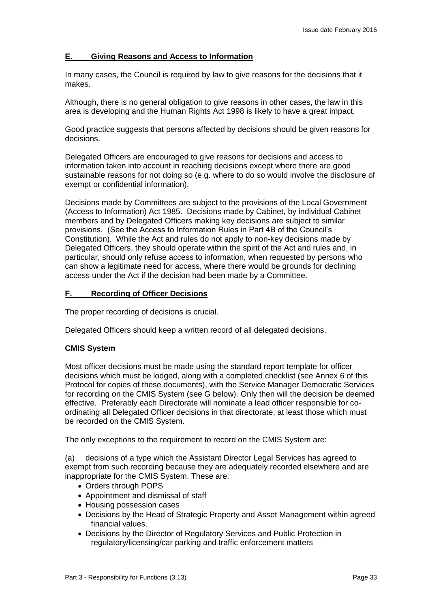#### **E. Giving Reasons and Access to Information**

In many cases, the Council is required by law to give reasons for the decisions that it makes.

Although, there is no general obligation to give reasons in other cases, the law in this area is developing and the Human Rights Act 1998 is likely to have a great impact.

Good practice suggests that persons affected by decisions should be given reasons for decisions.

Delegated Officers are encouraged to give reasons for decisions and access to information taken into account in reaching decisions except where there are good sustainable reasons for not doing so (e.g. where to do so would involve the disclosure of exempt or confidential information).

Decisions made by Committees are subject to the provisions of the Local Government (Access to Information) Act 1985. Decisions made by Cabinet, by individual Cabinet members and by Delegated Officers making key decisions are subject to similar provisions. (See the Access to Information Rules in Part 4B of the Council's Constitution). While the Act and rules do not apply to non-key decisions made by Delegated Officers, they should operate within the spirit of the Act and rules and, in particular, should only refuse access to information, when requested by persons who can show a legitimate need for access, where there would be grounds for declining access under the Act if the decision had been made by a Committee.

#### **F. Recording of Officer Decisions**

The proper recording of decisions is crucial.

Delegated Officers should keep a written record of all delegated decisions.

#### **CMIS System**

Most officer decisions must be made using the standard report template for officer decisions which must be lodged, along with a completed checklist (see Annex 6 of this Protocol for copies of these documents), with the Service Manager Democratic Services for recording on the CMIS System (see G below). Only then will the decision be deemed effective. Preferably each Directorate will nominate a lead officer responsible for coordinating all Delegated Officer decisions in that directorate, at least those which must be recorded on the CMIS System.

The only exceptions to the requirement to record on the CMIS System are:

(a) decisions of a type which the Assistant Director Legal Services has agreed to exempt from such recording because they are adequately recorded elsewhere and are inappropriate for the CMIS System. These are:

- Orders through POPS
- Appointment and dismissal of staff
- Housing possession cases
- Decisions by the Head of Strategic Property and Asset Management within agreed financial values.
- Decisions by the Director of Regulatory Services and Public Protection in regulatory/licensing/car parking and traffic enforcement matters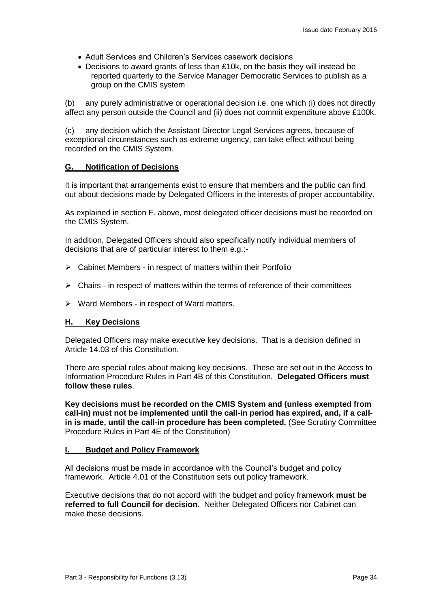- Adult Services and Children's Services casework decisions
- Decisions to award grants of less than £10k, on the basis they will instead be reported quarterly to the Service Manager Democratic Services to publish as a group on the CMIS system

(b) any purely administrative or operational decision i.e. one which (i) does not directly affect any person outside the Council and (ii) does not commit expenditure above £100k.

(c) any decision which the Assistant Director Legal Services agrees, because of exceptional circumstances such as extreme urgency, can take effect without being recorded on the CMIS System.

#### **G. Notification of Decisions**

It is important that arrangements exist to ensure that members and the public can find out about decisions made by Delegated Officers in the interests of proper accountability.

As explained in section F. above, most delegated officer decisions must be recorded on the CMIS System.

In addition, Delegated Officers should also specifically notify individual members of decisions that are of particular interest to them e.g.:-

- $\triangleright$  Cabinet Members in respect of matters within their Portfolio
- $\triangleright$  Chairs in respect of matters within the terms of reference of their committees
- $\triangleright$  Ward Members in respect of Ward matters.

#### **H. Key Decisions**

Delegated Officers may make executive key decisions. That is a decision defined in Article 14.03 of this Constitution.

There are special rules about making key decisions. These are set out in the Access to Information Procedure Rules in Part 4B of this Constitution. **Delegated Officers must follow these rules**.

**Key decisions must be recorded on the CMIS System and (unless exempted from call-in) must not be implemented until the call-in period has expired, and, if a callin is made, until the call-in procedure has been completed.** (See Scrutiny Committee Procedure Rules in Part 4E of the Constitution)

#### **I. Budget and Policy Framework**

All decisions must be made in accordance with the Council's budget and policy framework. Article 4.01 of the Constitution sets out policy framework.

Executive decisions that do not accord with the budget and policy framework **must be referred to full Council for decision**. Neither Delegated Officers nor Cabinet can make these decisions.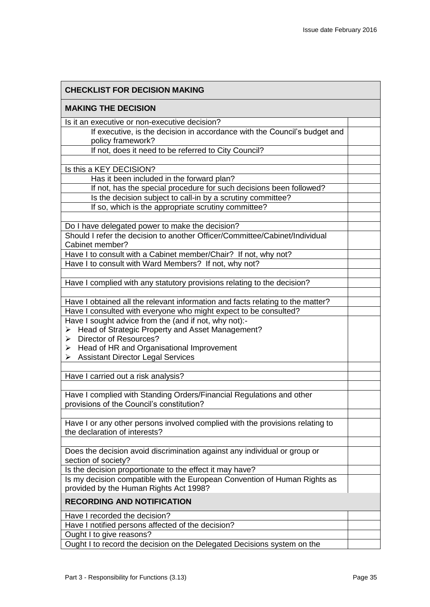| <b>CHECKLIST FOR DECISION MAKING</b>                                                           |  |
|------------------------------------------------------------------------------------------------|--|
| <b>MAKING THE DECISION</b>                                                                     |  |
| Is it an executive or non-executive decision?                                                  |  |
| If executive, is the decision in accordance with the Council's budget and<br>policy framework? |  |
| If not, does it need to be referred to City Council?                                           |  |
|                                                                                                |  |
| Is this a KEY DECISION?<br>Has it been included in the forward plan?                           |  |
| If not, has the special procedure for such decisions been followed?                            |  |
| Is the decision subject to call-in by a scrutiny committee?                                    |  |
| If so, which is the appropriate scrutiny committee?                                            |  |
|                                                                                                |  |
| Do I have delegated power to make the decision?                                                |  |
| Should I refer the decision to another Officer/Committee/Cabinet/Individual                    |  |
| Cabinet member?                                                                                |  |
| Have I to consult with a Cabinet member/Chair? If not, why not?                                |  |
| Have I to consult with Ward Members? If not, why not?                                          |  |
|                                                                                                |  |
| Have I complied with any statutory provisions relating to the decision?                        |  |
| Have I obtained all the relevant information and facts relating to the matter?                 |  |
| Have I consulted with everyone who might expect to be consulted?                               |  |
| Have I sought advice from the (and if not, why not):-                                          |  |
| Head of Strategic Property and Asset Management?<br>➤                                          |  |
| <b>Director of Resources?</b><br>➤                                                             |  |
| Head of HR and Organisational Improvement<br>➤                                                 |  |
| $\triangleright$ Assistant Director Legal Services                                             |  |
| Have I carried out a risk analysis?                                                            |  |
|                                                                                                |  |
| Have I complied with Standing Orders/Financial Regulations and other                           |  |
| provisions of the Council's constitution?                                                      |  |
|                                                                                                |  |
| Have I or any other persons involved complied with the provisions relating to                  |  |
| the declaration of interests?                                                                  |  |
| Does the decision avoid discrimination against any individual or group or                      |  |
| section of society?                                                                            |  |
| Is the decision proportionate to the effect it may have?                                       |  |
| Is my decision compatible with the European Convention of Human Rights as                      |  |
| provided by the Human Rights Act 1998?                                                         |  |
| <b>RECORDING AND NOTIFICATION</b>                                                              |  |
| Have I recorded the decision?                                                                  |  |
| Have I notified persons affected of the decision?                                              |  |
| Ought I to give reasons?                                                                       |  |
| Ought I to record the decision on the Delegated Decisions system on the                        |  |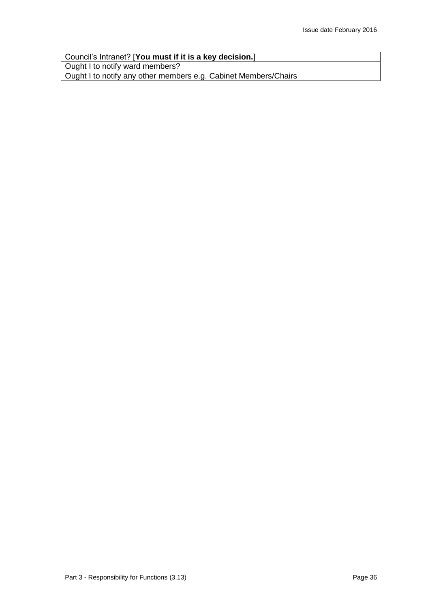| Council's Intranet? [You must if it is a key decision.]         |  |
|-----------------------------------------------------------------|--|
| Ought I to notify ward members?                                 |  |
| Ought I to notify any other members e.g. Cabinet Members/Chairs |  |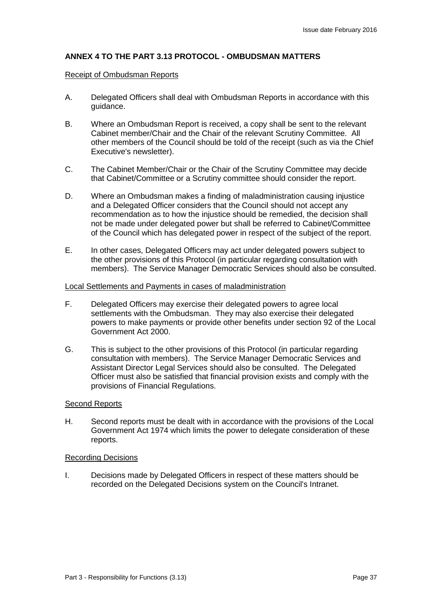# **ANNEX 4 TO THE PART 3.13 PROTOCOL - OMBUDSMAN MATTERS**

#### Receipt of Ombudsman Reports

- A. Delegated Officers shall deal with Ombudsman Reports in accordance with this guidance.
- B. Where an Ombudsman Report is received, a copy shall be sent to the relevant Cabinet member/Chair and the Chair of the relevant Scrutiny Committee. All other members of the Council should be told of the receipt (such as via the Chief Executive's newsletter).
- C. The Cabinet Member/Chair or the Chair of the Scrutiny Committee may decide that Cabinet/Committee or a Scrutiny committee should consider the report.
- D. Where an Ombudsman makes a finding of maladministration causing injustice and a Delegated Officer considers that the Council should not accept any recommendation as to how the injustice should be remedied, the decision shall not be made under delegated power but shall be referred to Cabinet/Committee of the Council which has delegated power in respect of the subject of the report.
- E. In other cases, Delegated Officers may act under delegated powers subject to the other provisions of this Protocol (in particular regarding consultation with members). The Service Manager Democratic Services should also be consulted.

#### Local Settlements and Payments in cases of maladministration

- F. Delegated Officers may exercise their delegated powers to agree local settlements with the Ombudsman. They may also exercise their delegated powers to make payments or provide other benefits under section 92 of the Local Government Act 2000.
- G. This is subject to the other provisions of this Protocol (in particular regarding consultation with members). The Service Manager Democratic Services and Assistant Director Legal Services should also be consulted. The Delegated Officer must also be satisfied that financial provision exists and comply with the provisions of Financial Regulations.

#### Second Reports

H. Second reports must be dealt with in accordance with the provisions of the Local Government Act 1974 which limits the power to delegate consideration of these reports.

#### Recording Decisions

I. Decisions made by Delegated Officers in respect of these matters should be recorded on the Delegated Decisions system on the Council's Intranet.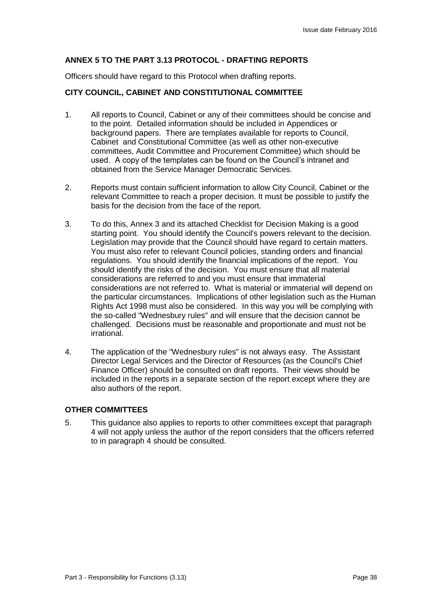# **ANNEX 5 TO THE PART 3.13 PROTOCOL - DRAFTING REPORTS**

Officers should have regard to this Protocol when drafting reports.

### **CITY COUNCIL, CABINET AND CONSTITUTIONAL COMMITTEE**

- 1. All reports to Council, Cabinet or any of their committees should be concise and to the point. Detailed information should be included in Appendices or background papers. There are templates available for reports to Council, Cabinet and Constitutional Committee (as well as other non-executive committees, Audit Committee and Procurement Committee) which should be used. A copy of the templates can be found on the Council's intranet and obtained from the Service Manager Democratic Services.
- 2. Reports must contain sufficient information to allow City Council, Cabinet or the relevant Committee to reach a proper decision. It must be possible to justify the basis for the decision from the face of the report.
- 3. To do this, Annex 3 and its attached Checklist for Decision Making is a good starting point. You should identify the Council's powers relevant to the decision. Legislation may provide that the Council should have regard to certain matters. You must also refer to relevant Council policies, standing orders and financial regulations. You should identify the financial implications of the report. You should identify the risks of the decision. You must ensure that all material considerations are referred to and you must ensure that immaterial considerations are not referred to. What is material or immaterial will depend on the particular circumstances. Implications of other legislation such as the Human Rights Act 1998 must also be considered. In this way you will be complying with the so-called "Wednesbury rules" and will ensure that the decision cannot be challenged. Decisions must be reasonable and proportionate and must not be irrational.
- 4. The application of the "Wednesbury rules" is not always easy. The Assistant Director Legal Services and the Director of Resources (as the Council's Chief Finance Officer) should be consulted on draft reports. Their views should be included in the reports in a separate section of the report except where they are also authors of the report.

### **OTHER COMMITTEES**

5. This guidance also applies to reports to other committees except that paragraph 4 will not apply unless the author of the report considers that the officers referred to in paragraph 4 should be consulted.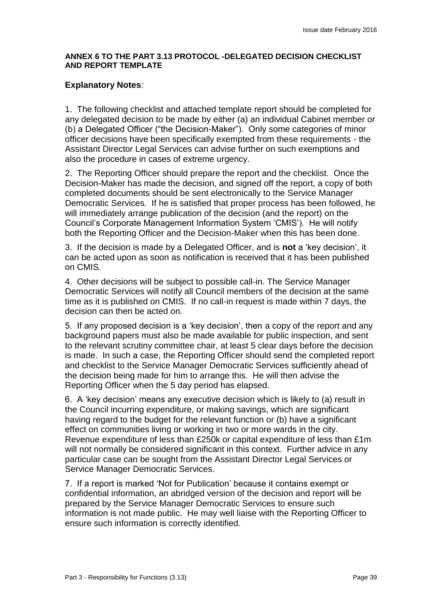# **ANNEX 6 TO THE PART 3.13 PROTOCOL -DELEGATED DECISION CHECKLIST AND REPORT TEMPLATE**

# **Explanatory Notes**:

1. The following checklist and attached template report should be completed for any delegated decision to be made by either (a) an individual Cabinet member or (b) a Delegated Officer ("the Decision-Maker"). Only some categories of minor officer decisions have been specifically exempted from these requirements - the Assistant Director Legal Services can advise further on such exemptions and also the procedure in cases of extreme urgency.

2. The Reporting Officer should prepare the report and the checklist. Once the Decision-Maker has made the decision, and signed off the report, a copy of both completed documents should be sent electronically to the Service Manager Democratic Services. If he is satisfied that proper process has been followed, he will immediately arrange publication of the decision (and the report) on the Council's Corporate Management Information System 'CMIS'). He will notify both the Reporting Officer and the Decision-Maker when this has been done.

3. If the decision is made by a Delegated Officer, and is **not** a 'key decision', it can be acted upon as soon as notification is received that it has been published on CMIS.

4. Other decisions will be subject to possible call-in. The Service Manager Democratic Services will notify all Council members of the decision at the same time as it is published on CMIS. If no call-in request is made within 7 days, the decision can then be acted on.

5. If any proposed decision is a 'key decision', then a copy of the report and any background papers must also be made available for public inspection, and sent to the relevant scrutiny committee chair, at least 5 clear days before the decision is made. In such a case, the Reporting Officer should send the completed report and checklist to the Service Manager Democratic Services sufficiently ahead of the decision being made for him to arrange this. He will then advise the Reporting Officer when the 5 day period has elapsed.

6. A 'key decision' means any executive decision which is likely to (a) result in the Council incurring expenditure, or making savings, which are significant having regard to the budget for the relevant function or (b) have a significant effect on communities living or working in two or more wards in the city. Revenue expenditure of less than £250k or capital expenditure of less than £1m will not normally be considered significant in this context. Further advice in any particular case can be sought from the Assistant Director Legal Services or Service Manager Democratic Services.

7. If a report is marked 'Not for Publication' because it contains exempt or confidential information, an abridged version of the decision and report will be prepared by the Service Manager Democratic Services to ensure such information is not made public. He may well liaise with the Reporting Officer to ensure such information is correctly identified.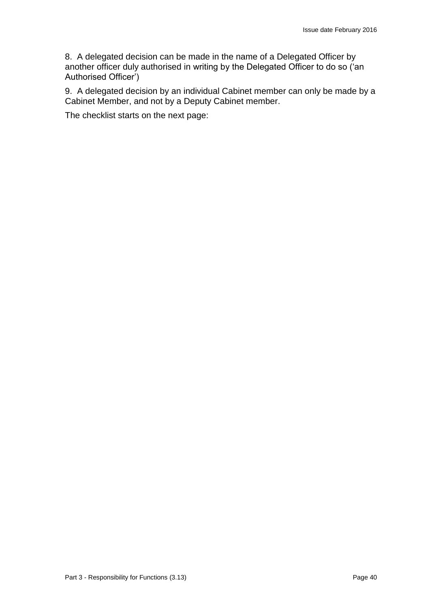8. A delegated decision can be made in the name of a Delegated Officer by another officer duly authorised in writing by the Delegated Officer to do so ('an Authorised Officer')

9. A delegated decision by an individual Cabinet member can only be made by a Cabinet Member, and not by a Deputy Cabinet member.

The checklist starts on the next page: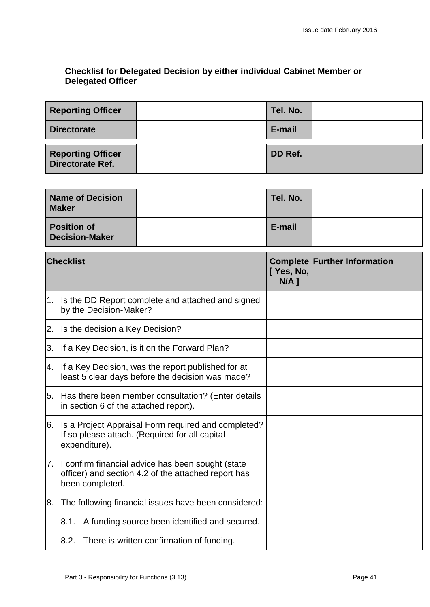# **Checklist for Delegated Decision by either individual Cabinet Member or Delegated Officer**

| <b>Reporting Officer</b>                     | Tel. No. |  |
|----------------------------------------------|----------|--|
| <b>Directorate</b>                           | E-mail   |  |
| <b>Reporting Officer</b><br>Directorate Ref. | DD Ref.  |  |

|                  | <b>Name of Decision</b><br><b>Maker</b>                                                                                     |                                                      | Tel. No.                            |  |
|------------------|-----------------------------------------------------------------------------------------------------------------------------|------------------------------------------------------|-------------------------------------|--|
|                  | <b>Position of</b><br><b>Decision-Maker</b>                                                                                 |                                                      | E-mail                              |  |
| <b>Checklist</b> |                                                                                                                             | [ Yes, No,<br>$N/A$ ]                                | <b>Complete Further Information</b> |  |
| 1.               | by the Decision-Maker?                                                                                                      | Is the DD Report complete and attached and signed    |                                     |  |
| 2.               | Is the decision a Key Decision?                                                                                             |                                                      |                                     |  |
| 3.               |                                                                                                                             | If a Key Decision, is it on the Forward Plan?        |                                     |  |
| 4.               | If a Key Decision, was the report published for at<br>least 5 clear days before the decision was made?                      |                                                      |                                     |  |
| 5.               | Has there been member consultation? (Enter details<br>in section 6 of the attached report).                                 |                                                      |                                     |  |
| 6.               | Is a Project Appraisal Form required and completed?<br>If so please attach. (Required for all capital<br>expenditure).      |                                                      |                                     |  |
| 7.               | I confirm financial advice has been sought (state<br>officer) and section 4.2 of the attached report has<br>been completed. |                                                      |                                     |  |
| 8.               |                                                                                                                             | The following financial issues have been considered: |                                     |  |
|                  | 8.1.                                                                                                                        | A funding source been identified and secured.        |                                     |  |
|                  |                                                                                                                             | 8.2. There is written confirmation of funding.       |                                     |  |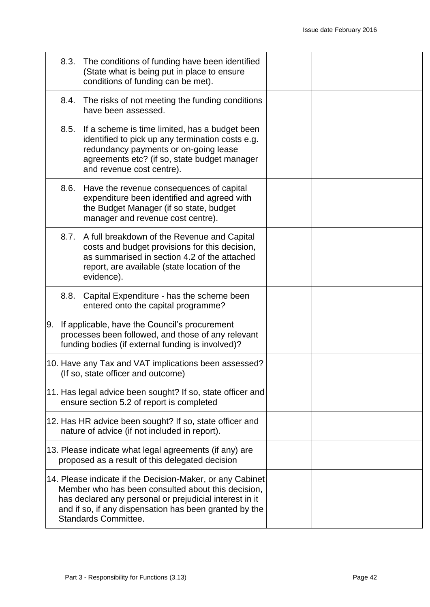|    |      | 8.3. The conditions of funding have been identified<br>(State what is being put in place to ensure<br>conditions of funding can be met).                                                                                                                     |  |
|----|------|--------------------------------------------------------------------------------------------------------------------------------------------------------------------------------------------------------------------------------------------------------------|--|
|    |      | 8.4. The risks of not meeting the funding conditions<br>have been assessed.                                                                                                                                                                                  |  |
|    | 8.5. | If a scheme is time limited, has a budget been<br>identified to pick up any termination costs e.g.<br>redundancy payments or on-going lease<br>agreements etc? (if so, state budget manager<br>and revenue cost centre).                                     |  |
|    | 8.6. | Have the revenue consequences of capital<br>expenditure been identified and agreed with<br>the Budget Manager (if so state, budget<br>manager and revenue cost centre).                                                                                      |  |
|    |      | 8.7. A full breakdown of the Revenue and Capital<br>costs and budget provisions for this decision,<br>as summarised in section 4.2 of the attached<br>report, are available (state location of the<br>evidence).                                             |  |
|    | 8.8. | Capital Expenditure - has the scheme been<br>entered onto the capital programme?                                                                                                                                                                             |  |
| 9. |      | If applicable, have the Council's procurement<br>processes been followed, and those of any relevant<br>funding bodies (if external funding is involved)?                                                                                                     |  |
|    |      | 10. Have any Tax and VAT implications been assessed?<br>(If so, state officer and outcome)                                                                                                                                                                   |  |
|    |      | 11. Has legal advice been sought? If so, state officer and<br>ensure section 5.2 of report is completed                                                                                                                                                      |  |
|    |      | 12. Has HR advice been sought? If so, state officer and<br>nature of advice (if not included in report).                                                                                                                                                     |  |
|    |      | 13. Please indicate what legal agreements (if any) are<br>proposed as a result of this delegated decision                                                                                                                                                    |  |
|    |      | 14. Please indicate if the Decision-Maker, or any Cabinet<br>Member who has been consulted about this decision,<br>has declared any personal or prejudicial interest in it<br>and if so, if any dispensation has been granted by the<br>Standards Committee. |  |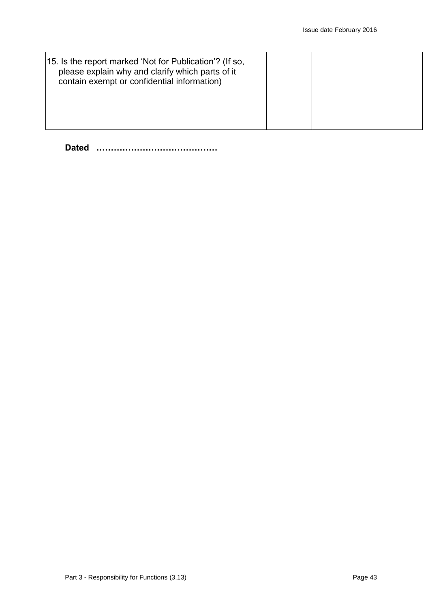| 15. Is the report marked 'Not for Publication'? (If so,<br>please explain why and clarify which parts of it<br>contain exempt or confidential information) |  |  |
|------------------------------------------------------------------------------------------------------------------------------------------------------------|--|--|
|                                                                                                                                                            |  |  |

**Dated ……………………………………**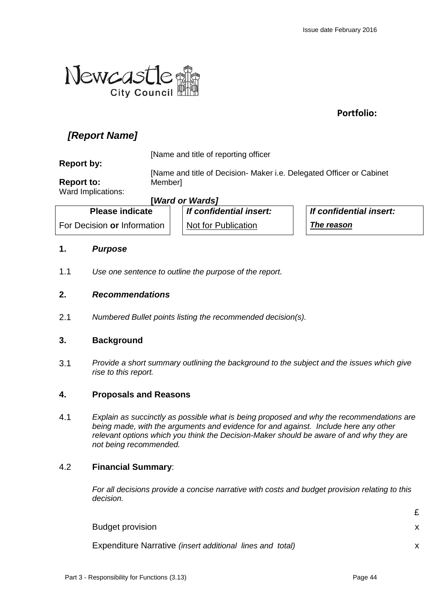

**Portfolio:**

# *[Report Name]*

**Report by:**

[Name and title of reporting officer

**Report to:**

[Name and title of Decision- Maker i.e. Delegated Officer or Cabinet **Memberl** 

Ward Implications:

**[***Ward or Wards]*

**Please indicate**  For Decision **or** Information *If confidential insert:* Not for Publication

*If confidential insert: The reason*

# **1.** *Purpose*

1.1 *Use one sentence to outline the purpose of the report.*

# **2.** *Recommendations*

2.1 *Numbered Bullet points listing the recommended decision(s).*

# **3. Background**

3.1 *Provide a short summary outlining the background to the subject and the issues which give rise to this report.*

# **4. Proposals and Reasons**

4.1 *Explain as succinctly as possible what is being proposed and why the recommendations are being made, with the arguments and evidence for and against. Include here any other relevant options which you think the Decision-Maker should be aware of and why they are not being recommended.*

# 4.2 **Financial Summary**:

*For all decisions provide a concise narrative with costs and budget provision relating to this decision.* 

| <b>Budget provision</b>                                   |  |
|-----------------------------------------------------------|--|
| Expenditure Narrative (insert additional lines and total) |  |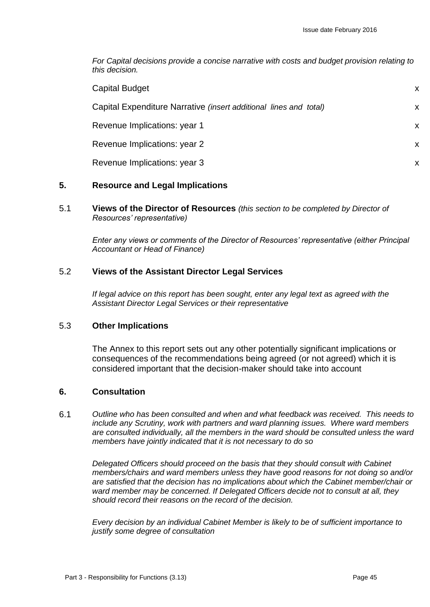*For Capital decisions provide a concise narrative with costs and budget provision relating to this decision.* 

| <b>Capital Budget</b>                                             | X |
|-------------------------------------------------------------------|---|
| Capital Expenditure Narrative (insert additional lines and total) | X |
| Revenue Implications: year 1                                      | X |
| Revenue Implications: year 2                                      | X |
| Revenue Implications: year 3                                      | X |

# **5. Resource and Legal Implications**

5.1 **Views of the Director of Resources** *(this section to be completed by Director of Resources' representative)*

*Enter any views or comments of the Director of Resources' representative (either Principal Accountant or Head of Finance)*

# 5.2 **Views of the Assistant Director Legal Services**

*If legal advice on this report has been sought, enter any legal text as agreed with the Assistant Director Legal Services or their representative*

### 5.3 **Other Implications**

The Annex to this report sets out any other potentially significant implications or consequences of the recommendations being agreed (or not agreed) which it is considered important that the decision-maker should take into account

# **6. Consultation**

6.1 *Outline who has been consulted and when and what feedback was received. This needs to include any Scrutiny, work with partners and ward planning issues. Where ward members are consulted individually, all the members in the ward should be consulted unless the ward members have jointly indicated that it is not necessary to do so*

*Delegated Officers should proceed on the basis that they should consult with Cabinet members/chairs and ward members unless they have good reasons for not doing so and/or are satisfied that the decision has no implications about which the Cabinet member/chair or ward member may be concerned. If Delegated Officers decide not to consult at all, they should record their reasons on the record of the decision.* 

*Every decision by an individual Cabinet Member is likely to be of sufficient importance to justify some degree of consultation*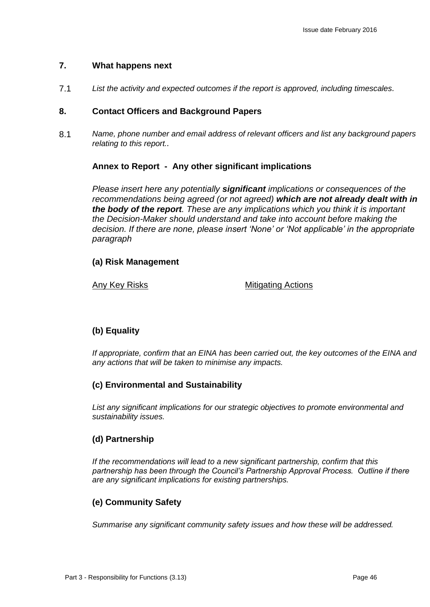# **7. What happens next**

7.1 *List the activity and expected outcomes if the report is approved, including timescales.*

# **8. Contact Officers and Background Papers**

8.1 *Name, phone number and email address of relevant officers and list any background papers relating to this report..*

# **Annex to Report - Any other significant implications**

*Please insert here any potentially significant implications or consequences of the recommendations being agreed (or not agreed) which are not already dealt with in the body of the report. These are any implications which you think it is important the Decision-Maker should understand and take into account before making the decision. If there are none, please insert 'None' or 'Not applicable' in the appropriate paragraph*

# **(a) Risk Management**

# Any Key Risks Mitigating Actions

# **(b) Equality**

*If appropriate, confirm that an EINA has been carried out, the key outcomes of the EINA and any actions that will be taken to minimise any impacts.*

# **(c) Environmental and Sustainability**

*List any significant implications for our strategic objectives to promote environmental and sustainability issues.*

# **(d) Partnership**

*If the recommendations will lead to a new significant partnership, confirm that this partnership has been through the Council's Partnership Approval Process. Outline if there are any significant implications for existing partnerships.*

# **(e) Community Safety**

*Summarise any significant community safety issues and how these will be addressed.*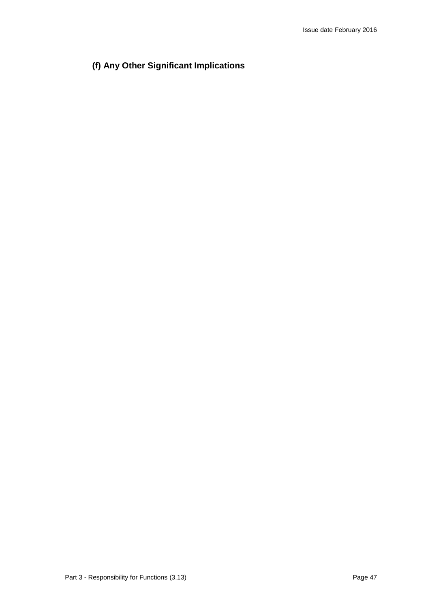# **(f) Any Other Significant Implications**